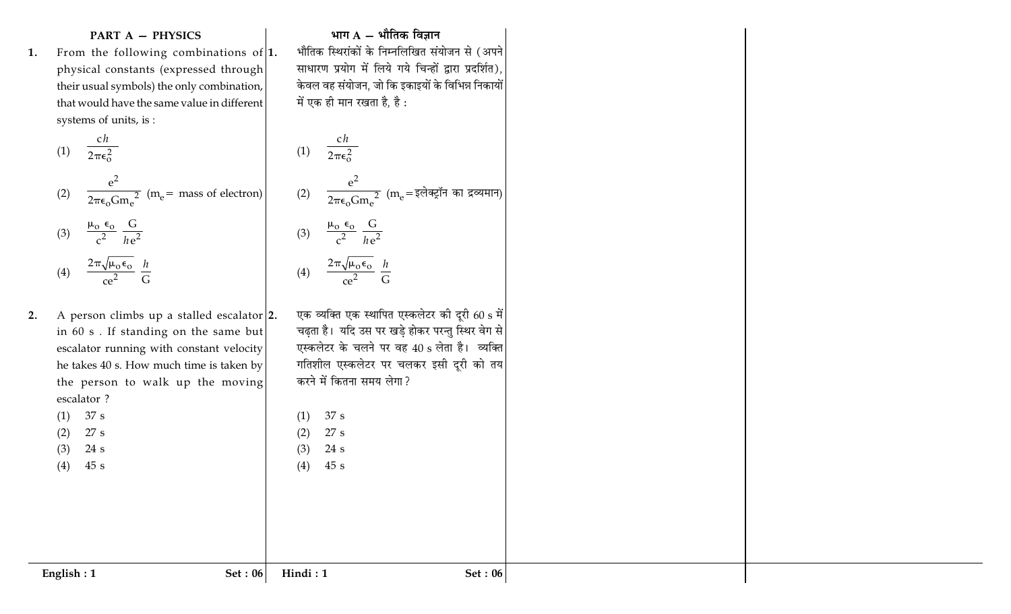### **PART A - PHYSICS**

1. From the following combinations of  $\vert 1$ . physical constants (expressed through their usual symbols) the only combination, that would have the same value in different systems of units, is :

(1) 
$$
\frac{ch}{2\pi\epsilon_0^2}
$$
  
\n(2)  $\frac{e^2}{2\pi\epsilon_0 Gm_e^2}$  (m<sub>e</sub> = mass of electron)  
\n(3)  $\frac{\mu_0 \epsilon_0}{c^2} \frac{G}{he^2}$   
\n(4)  $\frac{2\pi\sqrt{\mu_0 \epsilon_0}}{ce^2} \frac{h}{G}$ 

A person climbs up a stalled escalator  $|2$ .  $2.$ in 60 s. If standing on the same but escalator running with constant velocity he takes 40 s. How much time is taken by the person to walk up the moving escalator?

 $(1)$  37 s

27 s  $(2)$ 

 $24 s$  $(3)$ 

 $45 s$  $(4)$ 

#### भाग  $A - \hat{A}$ तिक विज्ञान

भौतिक स्थिरांकों के निम्नलिखित संयोजन से (अपने साधारण प्रयोग में लिये गये चिन्हों द्वारा प्रदर्शित), केवल वह संयोजन, जो कि इकाइयों के विभिन्न निकायों में एक ही मान रखता है, है:

(1) 
$$
\frac{ch}{2\pi\epsilon_0^2}
$$
  
\n(2)  $\frac{e^2}{2\pi\epsilon_0 Gm_e^2}$  (m<sub>e</sub> = इलेक्ट्रॉन का द्रव्यमान)  
\n(3)  $\frac{\mu_0 \epsilon_0}{c^2} \frac{G}{he^2}$   
\n(4)  $\frac{2\pi\sqrt{\mu_0 \epsilon_0}}{ce^2} \frac{h}{G}$ 

एक व्यक्ति एक स्थापित एस्कलेटर की दूरी 60 s में चढ़ता है। यदि उस पर खड़े होकर परन्तु स्थिर वेग से एस्कलेटर के चलने पर वह 40 s लेता है। व्यक्ति गतिशील एस्कलेटर पर चलकर इसी दूरी को तय करने में कितना समय लेगा?

 $37 s$  $(1)$ 

27 s  $(2)$  $24 s$  $(3)$ 

 $(4)$ 

Hindi: 1

Set:  $06$ 

 $45s$ 

Set:  $06$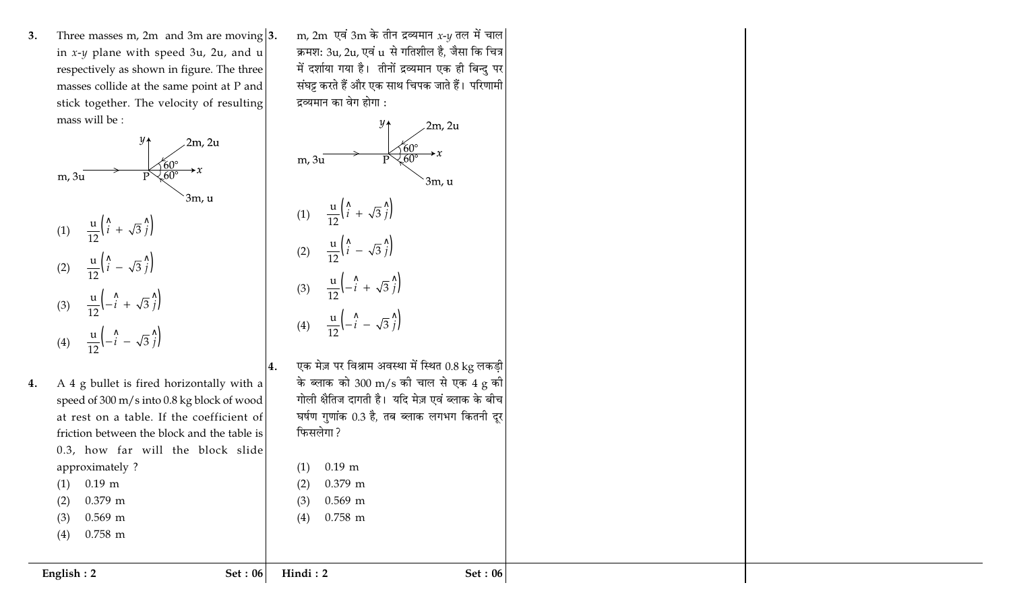Three masses m, 2m and 3m are moving  $|3$ .  $3.$ in  $x-y$  plane with speed 3u, 2u, and u respectively as shown in figure. The three masses collide at the same point at P and stick together. The velocity of resulting mass will be :



- A 4 g bullet is fired horizontally with a 4. speed of 300 m/s into 0.8 kg block of wood at rest on a table. If the coefficient of friction between the block and the table is 0.3, how far will the block slide approximately?  $0.19$  m  $(1)$ 0.379 m  $(2)$ 
	- $0.569$  m  $(3)$
	- $0.758$  m  $(4)$

m, 2m एवं 3m के तीन द्रव्यमान  $x$ -y तल में चाल क्रमश: 3u, 2u, एवं u से गतिशील है, जैसा कि चित्र में दर्शाया गया है। तीनों द्रव्यमान एक ही बिन्दु पर संघट्ट करते हैं और एक साथ चिपक जाते हैं। परिणामी द्रव्यमान का वेग होगा :



4.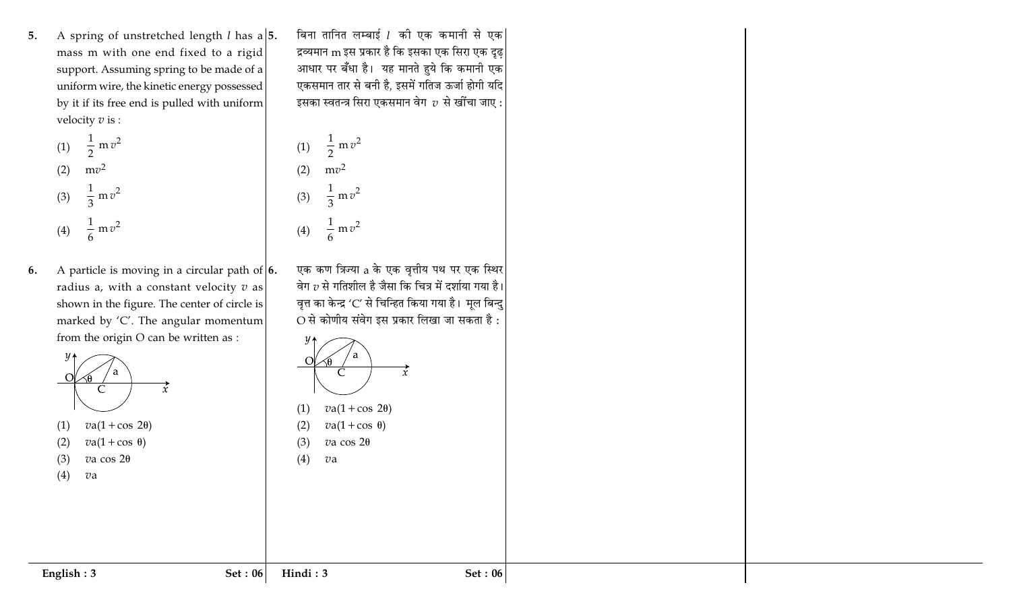A spring of unstretched length *l* has a  $\vert 5$ . 5. mass m with one end fixed to a rigid support. Assuming spring to be made of a uniform wire, the kinetic energy possessed by it if its free end is pulled with uniform velocity  $v$  is :

(1) 
$$
\frac{1}{2} m v^2
$$
  
\n(2)  $mv^2$   
\n(3)  $\frac{1}{3} m v^2$   
\n(4)  $\frac{1}{6} m v^2$ 

A particle is moving in a circular path of  $\vert 6$ . 6. radius a, with a constant velocity  $v$  as shown in the figure. The center of circle is marked by 'C'. The angular momentum from the origin O can be written as :



बिना तानित लम्बाई 1 की एक कमानी से एक द्रव्यमान m इस प्रकार है कि इसका एक सिरा एक दृढ<sup>1</sup> आधार पर बँधा है। यह मानते हुये कि कमानी एक एकसमान तार से बनी है, इसमें गतिज ऊर्जा होगी यदि इसका स्वतन्त्र सिरा एकसमान वेग $\;$   $\;$  से खींचा जाए :

(1) 
$$
\frac{1}{2}
$$
 m v<sup>2</sup>  
\n(2) m v<sup>2</sup>  
\n(3)  $\frac{1}{3}$  m v<sup>2</sup>  
\n(4)  $\frac{1}{6}$  m v<sup>2</sup>

एक कण त्रिज्या a के एक वृत्तीय पथ पर एक स्थिर वेग  $v$  से गतिशील है जैसा कि चित्र में दर्शाया गया है। वृत्त का केन्द्र 'C' से चिन्हित किया गया है। मूल बिन्दु  $O$  से कोणीय संवेग इस प्रकार लिखा जा सकता है: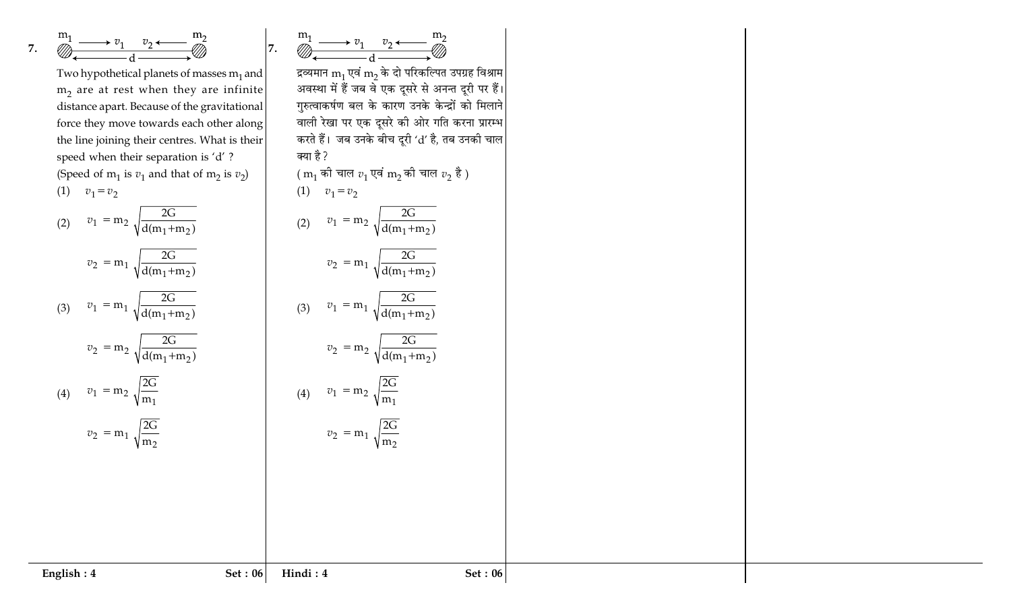7. 
$$
\overset{m_1}{\underset{\longleftarrow}{\longrightarrow}} \overset{v_1}{\underset{\longleftarrow}{\longrightarrow}} \overset{v_2}{\underset{\longleftarrow}{\longleftarrow}} \overset{m_2}{\underset{\longleftarrow}{\longrightarrow}}
$$

Two hypothetical planets of masses  $m_1$  and  $m_2$  are at rest when they are infinite distance apart. Because of the gravitational force they move towards each other along the line joining their centres. What is their speed when their separation is 'd'? (Speed of  $m_1$  is  $v_1$  and that of  $m_2$  is  $v_2$ ) (1)  $v_1 = v_2$ 

(2) 
$$
v_1 = m_2 \sqrt{\frac{2G}{d(m_1 + m_2)}}
$$
  
\n $v_2 = m_1 \sqrt{\frac{2G}{d(m_1 + m_2)}}$   
\n(3)  $v_1 = m_1 \sqrt{\frac{2G}{d(m_1 + m_2)}}$   
\n $v_2 = m_2 \sqrt{\frac{2G}{d(m_1 + m_2)}}$   
\n(4)  $v_1 = m_2 \sqrt{\frac{2G}{m_1}}$   
\n(5)  $v_2 = m_2 \sqrt{\frac{2G}{d(m_1 + m_2)}}$   
\n(6)  $v_1 = m_2 \sqrt{\frac{2G}{m_1}}$   
\n(7)  $v_2 = m_1 \sqrt{\frac{2G}{m_2}}$   
\n(8)  $v_1 = m_2 \sqrt{\frac{2G}{m_1}}$   
\n(9)  $v_1 = m_2 \sqrt{\frac{2G}{m_1}}$   
\n(10)  $v_1 = m_2 \sqrt{\frac{2G}{m_1}}$   
\n(2)  $v_1 = m_2 \sqrt{\frac{G}{d(m_1 + m_2)}}$   
\n(3)  $v_1 = m_1 \sqrt{\frac{G}{d(m_1 + m_2)}}$   
\n(4)  $v_1 = m_2 \sqrt{\frac{2G}{m_1}}$   
\n(5)  $v_2 = m_1 \sqrt{\frac{2G}{m_2}}$   
\n(6)  $v_1 = m_2 \sqrt{\frac{2G}{m_1}}$   
\n(7)  $v_2 = m_1 \sqrt{\frac{2G}{m_1}}$   
\n(8)  $v_1 = m_2 \sqrt{\frac{2G}{m_1}}$   
\n(9)  $v_1 = m_2 \sqrt{\frac{2G}{m_1}}$   
\n(10)  $v_1 = m_2 \sqrt{\frac{2G}{m_1}}$   
\n(11)  $v_1 = m_2 \sqrt{\frac{2G}{m_1}}$   
\n(12)  $v_1 = m_2 \sqrt{\frac{G}{d(m_1 + m_2)}}$ 

वाली रेखा पर एक दूसरे की ओर गति करना प्रारम्भ  
करते हैं। जब उनके बीच दूरी 'd' है, तब उनकी चाल  
क्या है ?  
(m₁ की चाल 
$$
v_1
$$
 एवं m₂ की चाल  $v_2$  है )  
(1)  $v_1 = v_2$   
(2)  $v_1 = m_2 \sqrt{\frac{2G}{d(m_1 + m_2)}}$   
 $v_2 = m_1 \sqrt{\frac{2G}{d(m_1 + m_2)}}$   
(3)  $v_1 = m_1 \sqrt{\frac{2G}{d(m_1 + m_2)}}$   
 $v_2 = m_2 \sqrt{\frac{2G}{d(m_1 + m_2)}}$   
(4)  $v_1 = m_2 \sqrt{\frac{2G}{m_1}}$   
 $v_2 = m_1 \sqrt{\frac{2G}{m_2}}$   
(2)  $v_2 = m_1 \sqrt{\frac{2G}{m_2}}$   
Find i : 4 Set : 06

 $\overbrace{\bigotimes_{\longleftarrow}^{m_1} \longrightarrow v_1 \quad v_2 \longleftarrow \longrightarrow^{m_2}}^{m_1}$ 

द्रव्यमान  $\rm m_1$  एवं  $\rm m_2$  के दो परिकल्पित उपग्रह विश्राम $|$ अवस्था में हैं जब वे एक दूसरे से अनन्त दूरी पर हैं।

गुरुत्वाकर्षण बल के कारण उनके केन्द्रों को मिलाने

 $|7.$ 

क्या

 $(1)$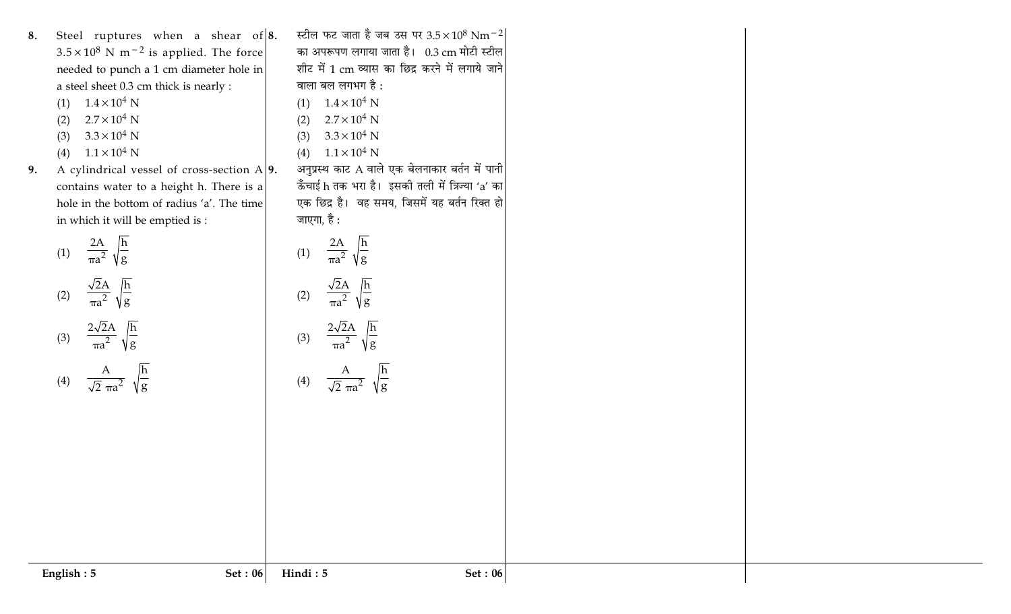| 8. | Steel ruptures when a shear of $ 8$ .                     |  |  |  |
|----|-----------------------------------------------------------|--|--|--|
|    | $3.5 \times 10^8$ N m <sup>-2</sup> is applied. The force |  |  |  |
|    | needed to punch a 1 cm diameter hole in                   |  |  |  |
|    | a steel sheet 0.3 cm thick is nearly :                    |  |  |  |

- (1)  $1.4 \times 10^4$  N
- $2.7\times10^4$  N  $(2)$
- (3)  $3.3 \times 10^4$  N
- (4)  $1.1 \times 10^4$  N
- A cylindrical vessel of cross-section  $A$ 9. 9. contains water to a height h. There is a hole in the bottom of radius 'a'. The time in which it will be emptied is :  $\,$

(1) 
$$
\frac{2A}{\pi a^2} \sqrt{\frac{h}{g}}
$$
  
\n(2) 
$$
\frac{\sqrt{2}A}{\pi a^2} \sqrt{\frac{h}{g}}
$$
  
\n(3) 
$$
\frac{2\sqrt{2}A}{\pi a^2} \sqrt{\frac{h}{g}}
$$
  
\n(4) 
$$
\frac{A}{\sqrt{2} \pi a^2} \sqrt{\frac{h}{g}}
$$

| स्टील फट जाता है जब उस पर 3.5×10 <sup>8</sup> Nm <sup>-2</sup> |  |  |  |  |  |
|----------------------------------------------------------------|--|--|--|--|--|
| का अपरूपण लगाया जाता है। 0.3 cm मोटी स्टील                     |  |  |  |  |  |
| शीट में 1 cm व्यास का छिद्र करने में लगाये जाने                |  |  |  |  |  |
| वाला बल लगभग है :                                              |  |  |  |  |  |
| (1) $1.4 \times 10^4$ N                                        |  |  |  |  |  |
| (2) $2.7 \times 10^4$ N                                        |  |  |  |  |  |
| (3) $3.3 \times 10^4$ N                                        |  |  |  |  |  |
| (4) $1.1 \times 10^4$ N                                        |  |  |  |  |  |
| अनुप्रस्थ काट A वाले एक बेलनाकार बर्तन में पानी                |  |  |  |  |  |
| ऊँँचाई h तक भरा है।  इसकी तली में त्रिज्या 'a' का              |  |  |  |  |  |
| एक छिद्र है।  वह समय, जिसमें यह बर्तन रिक्त हो                 |  |  |  |  |  |
| जाएगा, है :                                                    |  |  |  |  |  |
|                                                                |  |  |  |  |  |
| (1) $\frac{2A}{\pi a^2} \sqrt{\frac{h}{g}}$                    |  |  |  |  |  |
|                                                                |  |  |  |  |  |
| (2) $\frac{\sqrt{2A}}{\pi a^2} \sqrt{\frac{h}{g}}$             |  |  |  |  |  |
|                                                                |  |  |  |  |  |
|                                                                |  |  |  |  |  |
| (3) $\frac{2\sqrt{2}A}{\pi a^2} \sqrt{\frac{h}{g}}$            |  |  |  |  |  |
|                                                                |  |  |  |  |  |
| (4) $\frac{A}{\sqrt{2} \pi a^2} \sqrt{\frac{h}{g}}$            |  |  |  |  |  |
|                                                                |  |  |  |  |  |
|                                                                |  |  |  |  |  |
|                                                                |  |  |  |  |  |
|                                                                |  |  |  |  |  |
|                                                                |  |  |  |  |  |
|                                                                |  |  |  |  |  |
|                                                                |  |  |  |  |  |
|                                                                |  |  |  |  |  |
|                                                                |  |  |  |  |  |
|                                                                |  |  |  |  |  |
|                                                                |  |  |  |  |  |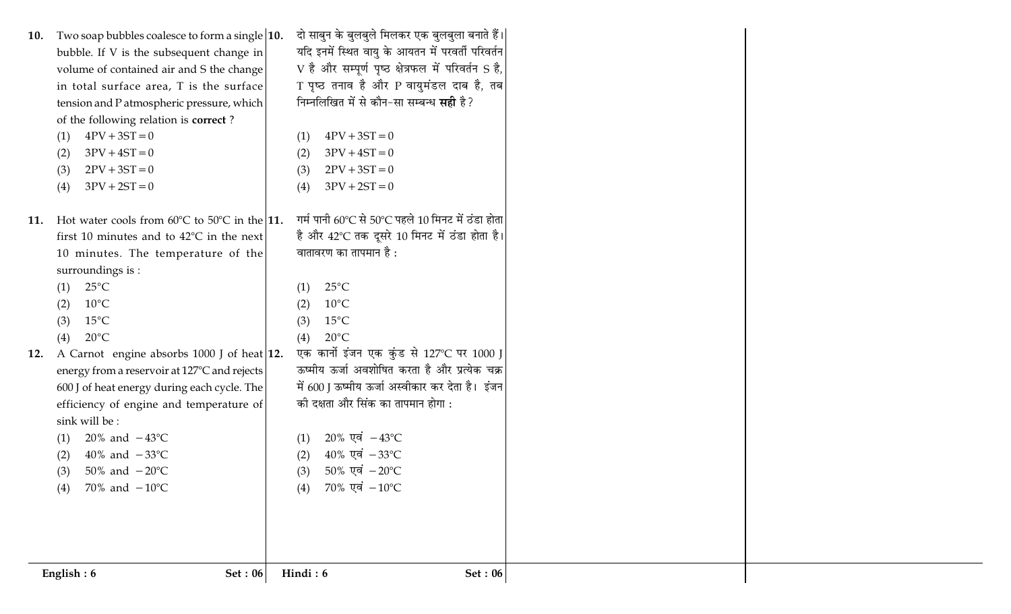| Two soap bubbles coalesce to form a single $ 10.$<br>10.<br>bubble. If V is the subsequent change in<br>volume of contained air and S the change<br>in total surface area, T is the surface<br>tension and P atmospheric pressure, which<br>of the following relation is correct?<br>$4PV + 3ST = 0$<br>(1)<br>$3PV + 4ST = 0$<br>(2)<br>$2PV + 3ST = 0$<br>(3)<br>$3PV + 2ST = 0$<br>(4) | दो साबुन के बुलबुले मिलकर एक बुलबुला बनाते हैं। <br>यदि इनमें स्थित वायु के आयतन में परवर्ती परिवर्तन<br>V है और सम्पूर्ण पृष्ठ क्षेत्रफल में परिवर्तन S है,<br>T पृष्ठ तनाव है और P वायुमंडल दाब है, तब<br>निम्नलिखित में से कौन-सा सम्बन्ध <b>सही</b> है?<br>$4PV + 3ST = 0$<br>(1)<br>$3PV + 4ST = 0$<br>(2)<br>$2PV + 3ST = 0$<br>(3)<br>$3PV + 2ST = 0$<br>(4) |
|-------------------------------------------------------------------------------------------------------------------------------------------------------------------------------------------------------------------------------------------------------------------------------------------------------------------------------------------------------------------------------------------|---------------------------------------------------------------------------------------------------------------------------------------------------------------------------------------------------------------------------------------------------------------------------------------------------------------------------------------------------------------------|
| Hot water cools from $60^{\circ}$ C to $50^{\circ}$ C in the 11.<br>11.<br>first 10 minutes and to $42^{\circ}$ C in the next<br>10 minutes. The temperature of the<br>surroundings is :<br>$25^{\circ}$ C<br>(1)<br>$10^{\circ}$ C<br>(2)<br>$15^{\circ}$ C<br>(3)                                                                                                                       | गर्म पानी $60^{\circ}$ C से 50 $^{\circ}$ C पहले 10 मिनट में ठंडा होता<br>है और 42°C तक दूसरे 10 मिनट में ठंडा होता है।<br>वातावरण का तापमान है :<br>$25^{\circ}$ C<br>(1)<br>$10^{\circ}$ C<br>(2)<br>$15^{\circ}$ C<br>(3)                                                                                                                                        |
| $20^{\circ}$ C<br>(4)<br>A Carnot engine absorbs 1000 J of heat 12.<br>12.<br>energy from a reservoir at 127°C and rejects<br>600 J of heat energy during each cycle. The<br>efficiency of engine and temperature of<br>sink will be:<br>20% and $-43^{\circ}$ C<br>(1)<br>40% and $-33^{\circ}$ C<br>(2)<br>50% and $-20^{\circ}C$<br>(3)<br>70% and $-10^{\circ}$ C<br>(4)              | $20^{\circ}$ C<br>(4)<br>एक कार्नो इंजन एक कुंड से 127℃ पर 1000 J<br>ऊष्मीय ऊर्जा अवशोषित करता है और प्रत्येक चक्र<br>में 600 J ऊष्मीय ऊर्जा अस्वीकार कर देता है। इंजन<br>की दक्षता और सिंक का तापमान होगा :<br>$20\%$ एवं $-43^{\circ}$ C<br>(1)<br>$40\%$ एवं $-33\degree$ C<br>(2)<br>$50\%$ एवं $-20\degree$ C<br>(3)<br>$70\%$ एवं $-10\degree$ C<br>(4)       |
| <b>Set: 06</b><br>English: 6                                                                                                                                                                                                                                                                                                                                                              | Hindi: 6<br><b>Set: 06</b>                                                                                                                                                                                                                                                                                                                                          |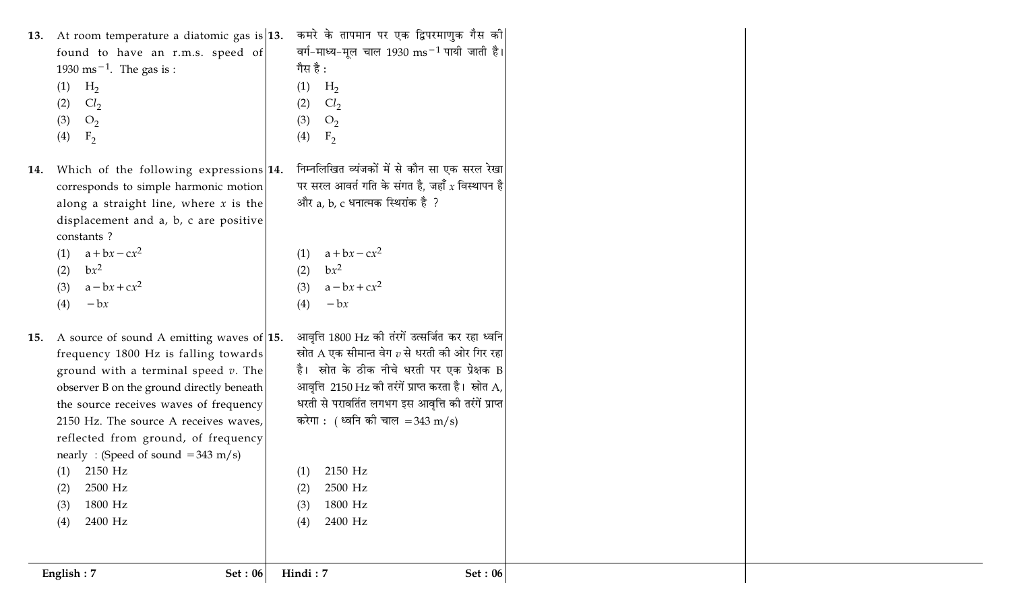| 13. At room temperature a diatomic gas is $ 13$ .                                                                                                                                                                                                                                                                                                                                                                    | कमरे के तापमान पर एक द्विपरमाणुक गैस की                                                                                                                                                                                                                                                                                                                                                                 |
|----------------------------------------------------------------------------------------------------------------------------------------------------------------------------------------------------------------------------------------------------------------------------------------------------------------------------------------------------------------------------------------------------------------------|---------------------------------------------------------------------------------------------------------------------------------------------------------------------------------------------------------------------------------------------------------------------------------------------------------------------------------------------------------------------------------------------------------|
| found to have an r.m.s. speed of                                                                                                                                                                                                                                                                                                                                                                                     | वर्ग-माध्य-मूल चाल 1930 ms <sup>-1</sup> पायी जाती है।                                                                                                                                                                                                                                                                                                                                                  |
| 1930 ms <sup><math>-1</math></sup> . The gas is :                                                                                                                                                                                                                                                                                                                                                                    | गैस है :                                                                                                                                                                                                                                                                                                                                                                                                |
| $H_2$                                                                                                                                                                                                                                                                                                                                                                                                                | (1)                                                                                                                                                                                                                                                                                                                                                                                                     |
| (1)                                                                                                                                                                                                                                                                                                                                                                                                                  | $H_2$                                                                                                                                                                                                                                                                                                                                                                                                   |
| Cl <sub>2</sub>                                                                                                                                                                                                                                                                                                                                                                                                      | Cl <sub>2</sub>                                                                                                                                                                                                                                                                                                                                                                                         |
| (2)                                                                                                                                                                                                                                                                                                                                                                                                                  | (2)                                                                                                                                                                                                                                                                                                                                                                                                     |
| (3)                                                                                                                                                                                                                                                                                                                                                                                                                  | (3)                                                                                                                                                                                                                                                                                                                                                                                                     |
| O <sub>2</sub>                                                                                                                                                                                                                                                                                                                                                                                                       | O <sub>2</sub>                                                                                                                                                                                                                                                                                                                                                                                          |
| (4)                                                                                                                                                                                                                                                                                                                                                                                                                  | (4)                                                                                                                                                                                                                                                                                                                                                                                                     |
| $F_2$                                                                                                                                                                                                                                                                                                                                                                                                                | F <sub>2</sub>                                                                                                                                                                                                                                                                                                                                                                                          |
| Which of the following expressions 14.<br>14.<br>corresponds to simple harmonic motion<br>along a straight line, where $x$ is the<br>displacement and a, b, c are positive<br>constants?<br>$a + bx - cx^2$<br>(1)<br>$bx^2$<br>(2)<br>$a - bx + cx^2$<br>(3)<br>$-\mathbf{b}x$<br>(4)                                                                                                                               | निम्नलिखित व्यंजकों में से कौन सा एक सरल रेखा<br>पर सरल आवर्त गति के संगत है, जहाँ $\chi$ विस्थापन है $ $<br>और a, b, c धनात्मक स्थिरांक है ?<br>$a+bx-cx^2$<br>(1)<br>$bx^2$<br>(2)<br>$a - bx + cx^2$<br>(3)<br>(4)<br>$-\mathbf{b}x$                                                                                                                                                                 |
| 15. A source of sound A emitting waves of 15.<br>frequency 1800 Hz is falling towards<br>ground with a terminal speed $v$ . The<br>observer B on the ground directly beneath<br>the source receives waves of frequency<br>2150 Hz. The source A receives waves,<br>reflected from ground, of frequency<br>nearly: (Speed of sound $=343$ m/s)<br>$(1)$ 2150 Hz<br>2500 Hz<br>(2)<br>1800 Hz<br>(3)<br>2400 Hz<br>(4) | आवृत्ति 1800 Hz की तंरगें उत्सर्जित कर रहा ध्वनि<br>स्रोत A एक सीमान्त वेग $v$ से धरती की ओर गिर रहा<br>है। स्रोत के ठीक नीचे धरती पर एक प्रेक्षक B<br>आवृत्ति $2150 \text{ Hz}$ की तरंगें प्राप्त करता है। स्रोत $\text{A}$ , $\mid$<br>धरती से परावर्तित लगभग इस आवृत्ति की तरंगें प्राप्त <br>करेगा : (ध्वनि की चाल =343 m/s)<br>$(1)$ 2150 Hz<br>2500 Hz<br>(2)<br>1800 Hz<br>(3)<br>2400 Hz<br>(4) |
| Set: 06                                                                                                                                                                                                                                                                                                                                                                                                              | Hindi: 7                                                                                                                                                                                                                                                                                                                                                                                                |
| English: 7                                                                                                                                                                                                                                                                                                                                                                                                           | Set: 06                                                                                                                                                                                                                                                                                                                                                                                                 |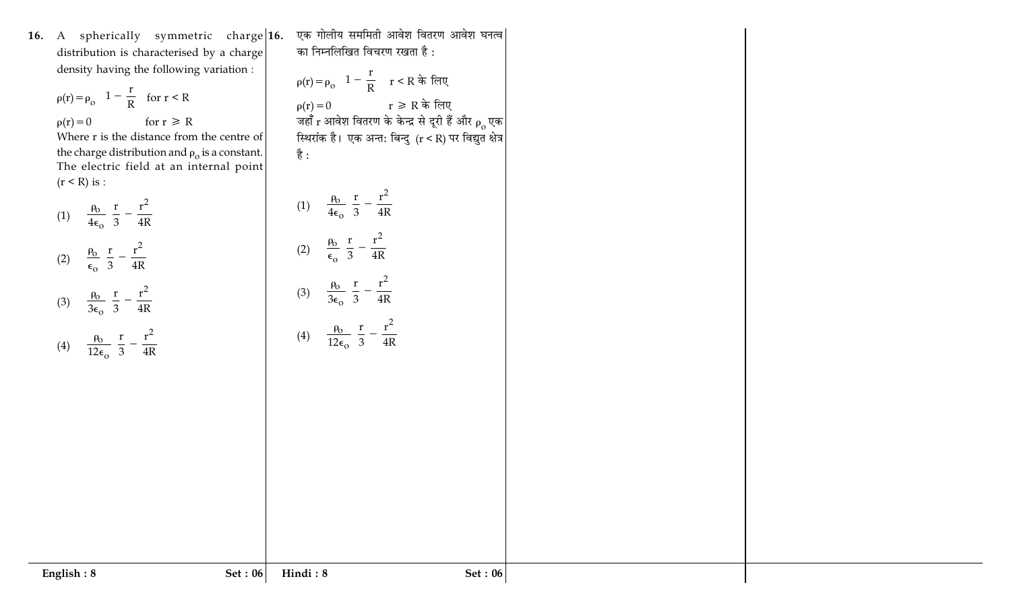**16.** A spherically symmetric charge|**1** distribution is characterised by a charge density having the following variation :

 $\rho(r) = \rho_0 \left( 1 - \frac{r}{R} \right)$  $\left(1-\frac{r}{R}\right)$  for  $r \leq R$  $\rho(r)$  $= 0$  for  $r \ge R$ 

Where r is the distance from the centre of the charge distribution and  $\rho_{\rm o}$  is a constant. The electric field at an internal point (r < R) is :

(1) 
$$
\frac{\rho_0}{4\epsilon_0} \left(\frac{r}{3} - \frac{r^2}{4R}\right)
$$
  
(2) 
$$
\frac{\rho_0}{\epsilon_0} \left(\frac{r}{3} - \frac{r^2}{4R}\right)
$$
  
(3) 
$$
\frac{\rho_0}{3\epsilon_0} \left(\frac{r}{3} - \frac{r^2}{4R}\right)
$$
  
(4) 
$$
\frac{\rho_0}{12\epsilon_0} \left(\frac{r}{3} - \frac{r^2}{4R}\right)
$$

6. एक गोलीय सममिती आवेश वितरण आवेश घनत्व का निम्नलिखित विचरण रखता है :

 $\rho(r) = \rho_o \left( 1 - \frac{r}{R} \right)$  $\left(1-\frac{\rm r}{\rm R}\right)$   $\rm r < R$  के लिए  $\rho(r) =$  $0$   $r \geqslant R$  के लिए जहाँ r आवेश वितरण के केन्द्र से दूरी हैं और  $\rho_{\rm o}^{\,}$ एक स्थिरांक है। एक अन्त: बिन्दु (r < R) पर विद्युत क्षेत्र है:

(1) 
$$
\frac{\rho_0}{4\epsilon_0} \left(\frac{r}{3} - \frac{r^2}{4R}\right)
$$
  
(2) 
$$
\frac{\rho_0}{\epsilon_0} \left(\frac{r}{3} - \frac{r^2}{4R}\right)
$$
  
(3) 
$$
\frac{\rho_0}{3\epsilon_0} \left(\frac{r}{3} - \frac{r^2}{4R}\right)
$$
  
(4) 
$$
\frac{\rho_0}{12\epsilon_0} \left(\frac{r}{3} - \frac{r^2}{4R}\right)
$$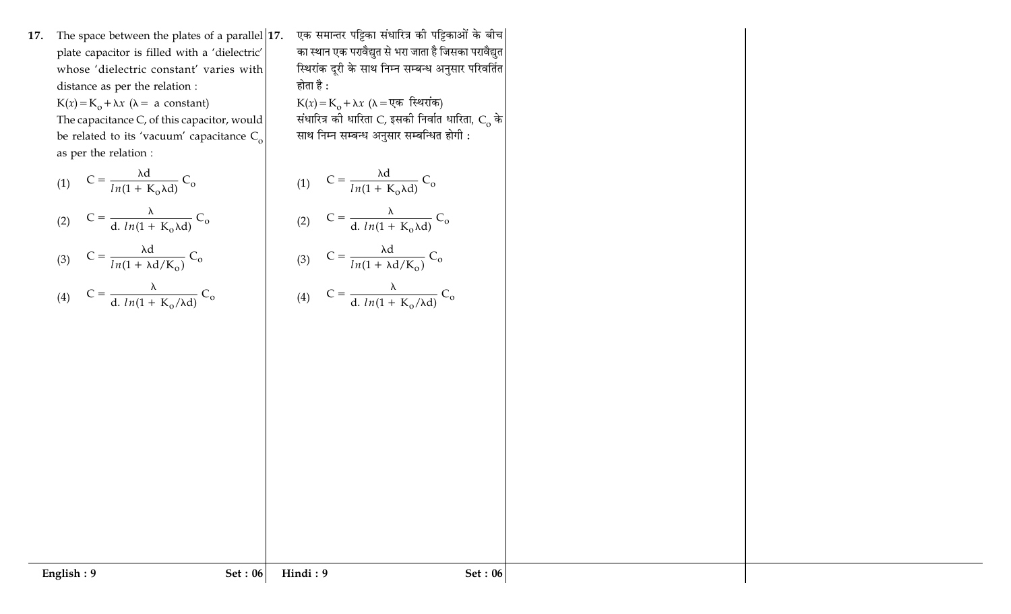17. The space between the plates of a parallel  $|17$ . plate capacitor is filled with a 'dielectric' whose 'dielectric constant' varies with distance as per the relation :

 $K(x) = K_0 + \lambda x$  ( $\lambda = a$  constant)

The capacitance C, of this capacitor, would be related to its 'vacuum' capacitance  $C_{o}$ as per the relation :

$$
(1) \quad C = \frac{\lambda d}{ln(1 + K_0 \lambda d)} C_0
$$

(2) 
$$
C = \frac{\lambda}{d \cdot ln(1 + K_0 \lambda d)} C_0
$$

(3) 
$$
C = \frac{\lambda d}{ln(1 + \lambda d/K_0)} C_0
$$

(4) 
$$
C = \frac{\lambda}{d \cdot ln(1 + K_0/\lambda d)} C_0
$$

एक समान्तर पट्टिका संधारित्र की पट्टिकाओं के बीच| का स्थान एक परावैद्युत से भरा जाता है जिसका परावैद्युत स्थिरांक दूरी के साथ निम्न सम्बन्ध अनुसार परिवर्तित <mark>|</mark> होता है :

K(x)=K<sub>o</sub> +  $\lambda x$  ( $\lambda$  = एक स्थिरांक)<br>संधारित्र को धारिता C, इसको निर्वात धारिता, C<sub>o</sub> के साथ निम्न सम्बन्ध अनुसार सम्बन्धित होगी :

(1) 
$$
C = \frac{\lambda d}{ln(1 + K_o \lambda d)} C_o
$$
  
\n(2) 
$$
C = \frac{\lambda}{d. ln(1 + K_o \lambda d)} C_o
$$
  
\n(3) 
$$
C = \frac{\lambda d}{ln(1 + \lambda d/K_o)} C_o
$$
  
\n(4) 
$$
C = \frac{\lambda}{d. ln(1 + K_o/\lambda d)} C_o
$$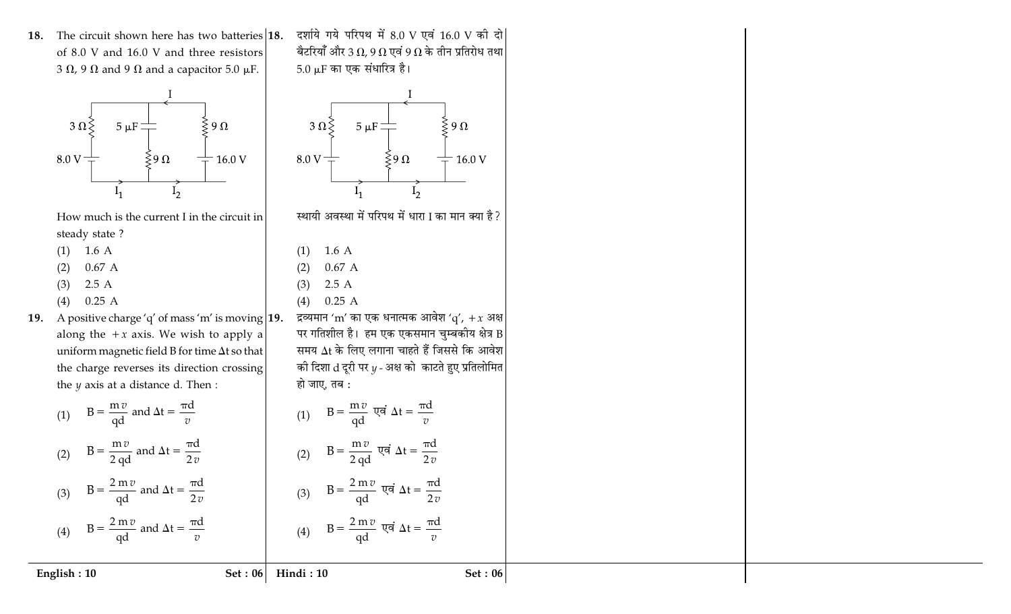18. The circuit shown here has two batteries 18. of 8.0 V and 16.0 V and three resistors 3  $\Omega$ , 9  $\Omega$  and 9  $\Omega$  and a capacitor 5.0  $\mu$ F.



How much is the current I in the circuit in steady state?

- $(1)$  1.6 A
- $0.67A$  $(2)$
- $2.5A$  $(3)$
- $0.25A$  $(4)$
- 19. A positive charge 'q' of mass 'm' is moving  $|19$ . along the  $+x$  axis. We wish to apply a uniform magnetic field B for time  $\Delta t$  so that the charge reverses its direction crossing the  $y$  axis at a distance d. Then :

बैटरियाँ और 3 $\, \Omega$ , 9 $\, \Omega \,$ एवं 9 $\, \Omega \,$ के तीन प्रतिरोध तथा 5.0 µF का एक संधारित्र है।

दर्शाये गये परिपथ में 8.0 V एवं 16.0 V की दो



स्थायी अवस्था में परिपथ में धारा I का मान क्या है ?

- $1.6A$  $(1)$
- $0.67A$  $(2)$
- $2.5A$  $(3)$  $0.25A$  $(4)$

द्रव्यमान 'm' का एक धनात्मक आवेश 'q', + x अक्ष पर गतिशील है। हम एक एकसमान चुम्बकीय क्षेत्र B समय  $\Delta t$  के लिए लगाना चाहते हैं जिससे कि आवेश की दिशा  $d$  दूरी पर  $y$  - अक्ष को काटते हुए प्रतिलोमित हो जाए, तब :

(1)  $B = \frac{m v}{qd}$  एवं  $\Delta t = \frac{\pi d}{v}$ 

(2)  $B = \frac{m v}{2 d d}$  एवं  $\Delta t = \frac{\pi d}{2 v}$ 

 $B = \frac{2 \text{ m} v}{\text{qd}}$  एवं  $\Delta t = \frac{\pi d}{2 v}$ 

(4)  $B = \frac{2 m v}{\rho d}$  एवं  $\Delta t = \frac{\pi d}{v}$ 

 $B = \frac{mv}{qd}$  and  $\Delta t = \frac{\pi d}{v}$  $(1)$ 

# $B = \frac{m v}{2 d d}$  and  $\Delta t = \frac{\pi d}{2 v}$  $(2)$

 $B = \frac{2 m v}{qd}$  and  $\Delta t = \frac{\pi d}{2 v}$  $(3)$ (4)  $B = \frac{2 m v}{ad}$  and  $\Delta t = \frac{\pi d}{v}$ 

English: 10

Set:  $06$  Hindi: 10

## Set: 06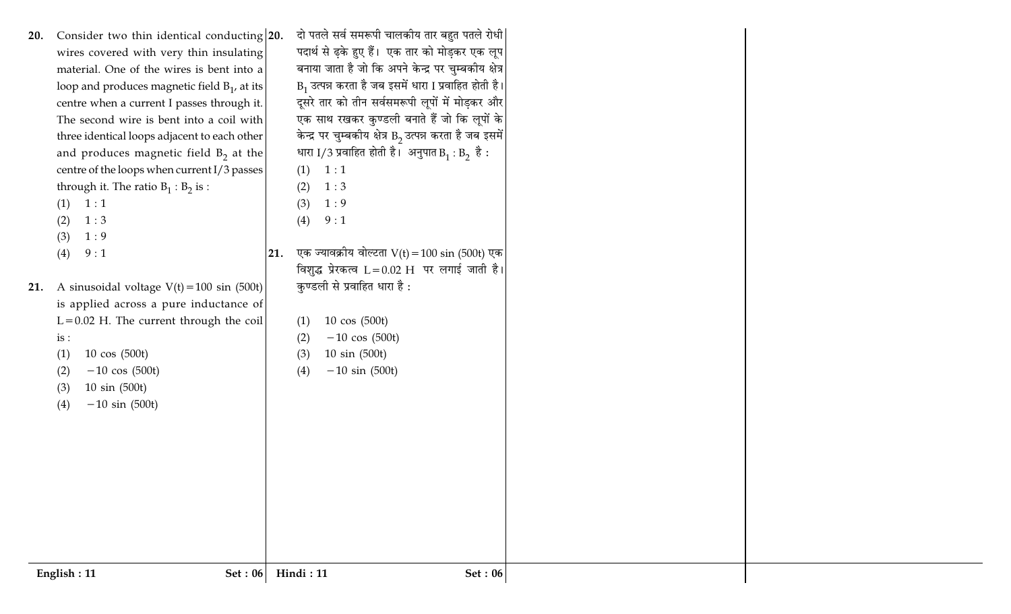| 21. | The second wire is bent into a coil with<br>three identical loops adjacent to each other<br>and produces magnetic field $B_2$ at the<br>centre of the loops when current I/3 passes<br>through it. The ratio $B_1 : B_2$ is :<br>(1)<br>1:1<br>1:3<br>(2)<br>(3)<br>1:9<br>(4)<br>9:1<br>A sinusoidal voltage $V(t) = 100 \sin (500t)$<br>is applied across a pure inductance of<br>$L = 0.02$ H. The current through the coil<br>is:<br>(1)<br>$10 \cos (500t)$<br>$-10 \cos (500t)$<br>(2)<br>10 sin (500t)<br>(3)<br>$-10 \sin (500t)$<br>(4)<br>English: 11<br>Set: $06$ | एक साथ रखकर कुण्डली बनाते हैं जो कि लूपों के<br>केन्द्र पर चुम्बकीय क्षेत्र B <sub>2</sub> उत्पन्न करता है जब इसमें<br>धारा I/3 प्रवाहित होती है। अनुपात $B_1 : B_2$ है:<br>(1)<br>1:1<br>1:3<br>(2)<br>(3)<br>1:9<br>9:1<br>(4)<br>एक ज्यावक्रीय वोल्टता $V(t) = 100 \sin(500t)$ एक<br>21.<br>विशुद्ध प्रेरकत्व $L = 0.02$ H पर लगाई जाती है।<br>कुण्डली से प्रवाहित धारा है :<br>10 cos (500t)<br>(1)<br>$-10 \cos (500t)$<br>(2)<br>10 sin (500t)<br>(3)<br>(4)<br>$-10 \sin (500t)$<br>Hindi: 11<br><b>Set: 06</b> |  |
|-----|------------------------------------------------------------------------------------------------------------------------------------------------------------------------------------------------------------------------------------------------------------------------------------------------------------------------------------------------------------------------------------------------------------------------------------------------------------------------------------------------------------------------------------------------------------------------------|------------------------------------------------------------------------------------------------------------------------------------------------------------------------------------------------------------------------------------------------------------------------------------------------------------------------------------------------------------------------------------------------------------------------------------------------------------------------------------------------------------------------|--|
| 20. | Consider two thin identical conducting 20.<br>wires covered with very thin insulating<br>material. One of the wires is bent into a<br>loop and produces magnetic field $B_1$ , at its<br>centre when a current I passes through it.                                                                                                                                                                                                                                                                                                                                          | दो पतले सर्व समरूपी चालकीय तार बहुत पतले रोधी<br>पदार्थ से ढ़के हुए हैं। एक तार को मोड़कर एक लूप<br>बनाया जाता है जो कि अपने केन्द्र पर चुम्बकीय क्षेत्र<br>$B_1$ उत्पन्न करता है जब इसमें धारा I प्रवाहित होती है।<br>दूसरे तार को तीन सर्वसमरूपी लूपों में मोड़कर और                                                                                                                                                                                                                                                 |  |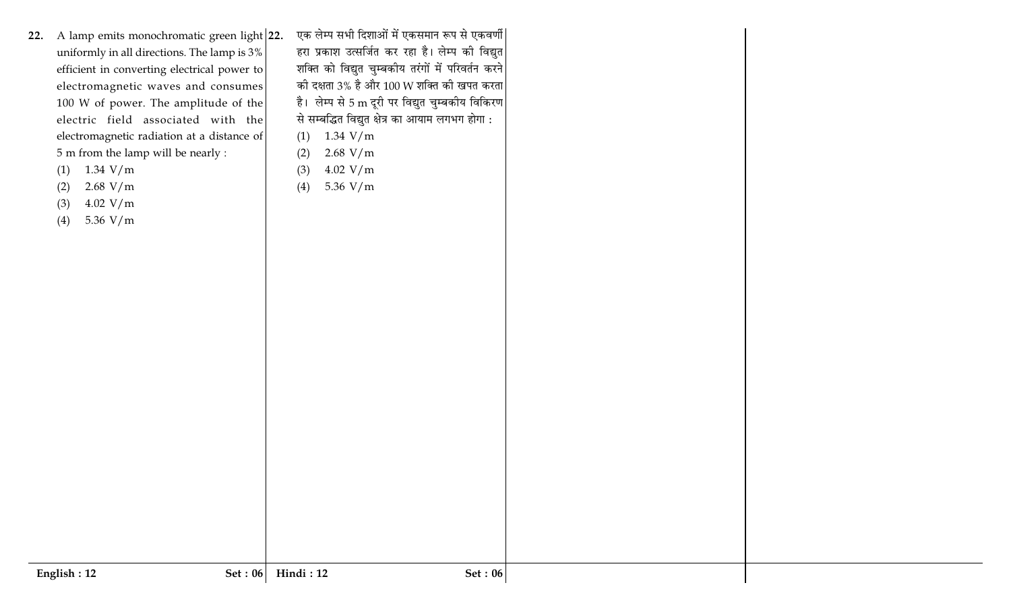- 22. A lamp emits monochromatic green light 22. uniformly in all directions. The lamp is 3% efficient in converting electrical power to electromagnetic waves and consumes 100 W of power. The amplitude of the electric field associated with the electromagnetic radiation at a distance of 5 m from the lamp will be nearly :
	- $(1)$  1.34 V/m
	- $2.68$  V/m  $(2)$
	- $4.02 V/m$  $(3)$
	- 5.36 V/m  $(4)$

एक लेम्प सभी दिशाओं में एकसमान रूप से एकवर्णी हरा प्रकाश उत्सर्जित कर रहा है। लेम्प की विद्युत शक्ति को विद्युत चुम्बकीय तरंगों में परिवर्तन करने की दक्षता 3% है और 100 W शक्ति की खपत करता है। लेम्प से 5 m दूरी पर विद्युत चुम्बकीय विकिरण से सम्बद्धित विद्युत क्षेत्र का आयाम लगभग होगा :  $(1)$ 1.34  $V/m$ 

- $2.68$  V/m  $(2)$
- $(3)$  $4.02 V/m$
- $(4)$ 5.36 V/m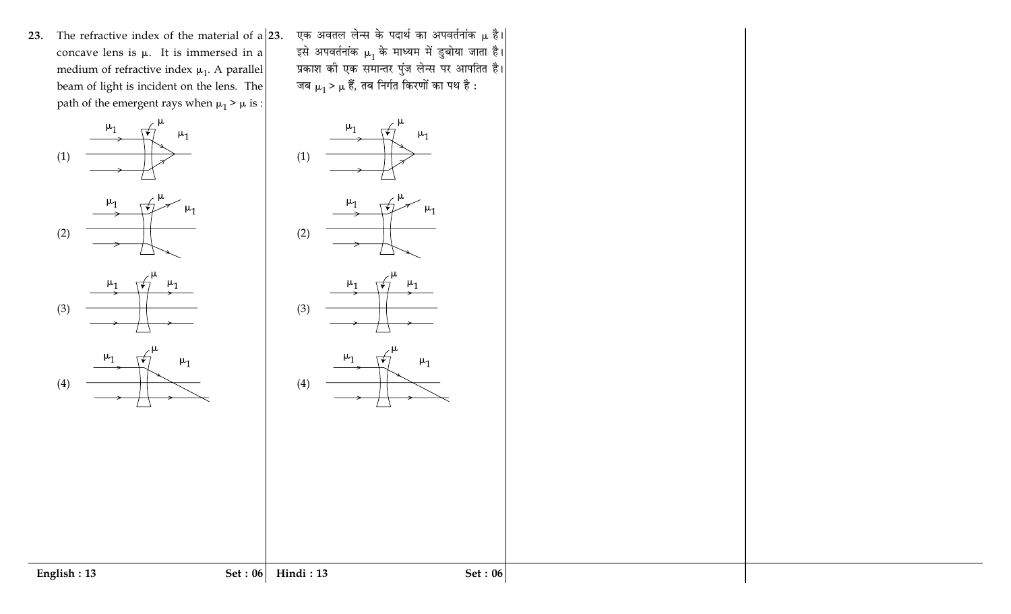23. The refractive index of the material of  $a/23$ . concave lens is  $\mu$ . It is immersed in a medium of refractive index  $\mu_1$ . A parallel beam of light is incident on the lens. The path of the emergent rays when  $\mu_1 \geq \mu$  is :



एक अवतल लेन्स के पदार्थ का अपवर्तनांक μ है।| इसे अपवर्तनांक  $\mu_1$  के माध्यम में डुबोया जाता है। प्रकाश की एक समान्तर पुंज लेन्स पर आपतित है। जब  $\mu_1 > \mu$  हैं, तब निर्गत किरणों का पथ है :

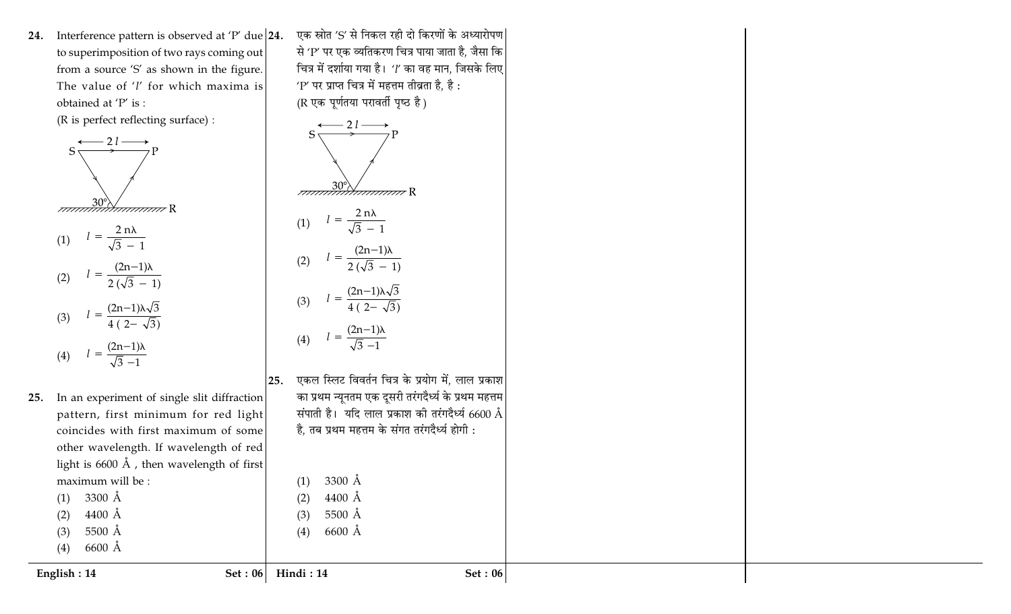24. Interference pattern is observed at 'P' due  $|24$ . to superimposition of two rays coming out from a source 'S' as shown in the figure. The value of 'l' for which maxima is obtained at 'P' is :

(R is perfect reflecting surface) :

$$
S \xrightarrow{2 l \longrightarrow P} P
$$
\n777777777777

\n(1)

\n
$$
l = \frac{2 \text{ n} \lambda}{\sqrt{3} - 1}
$$
\n(2)

\n
$$
l = \frac{(2 \text{ n} - 1) \lambda}{2 (\sqrt{3} - 1)}
$$
\n(3)

\n
$$
l = \frac{(2 \text{ n} - 1) \lambda \sqrt{3}}{4 (2 - \sqrt{3})}
$$
\n(4)

\n
$$
l = \frac{(2 \text{ n} - 1) \lambda}{\sqrt{3} - 1}
$$
\nIn an experiment of single slit

- 25. diffraction pattern, first minimum for red light coincides with first maximum of some other wavelength. If wavelength of red light is  $6600 \text{ Å}$ , then wavelength of first maximum will be :  $(1)$  3300 Å
	- $4400 \text{ Å}$  $(2)$
	- 5500 Å  $(3)$
	- (4) 6600 Å

एक स्रोत 'S' से निकल रही दो किरणों के अध्यारोपण से 'P' पर एक व्यतिकरण चित्र पाया जाता है, जैसा कि चित्र में दर्शाया गया है। '1' का वह मान, जिसके लिए 'P' पर प्राप्त चित्र में महत्तम तीव्रता है, है: (R एक पूर्णतया परावर्ती पृष्ठ है)





3300 Å

 $4400$  Å

5500 Å

 $6600$  Å

 $(1)$ 

 $(2)$ 

 $(3)$ 

 $(4)$ 

एकल स्लिट विवर्तन चित्र के प्रयोग में, लाल प्रकाश  $25.$ का प्रथम न्यूनतम एक दूसरी तरंगदैर्ध्य के प्रथम महत्तम संपाती है। यदि लाल प्रकाश की तरंगदैर्ध्य 6600 Å है, तब प्रथम महत्तम के संगत तरंगदैर्ध्य होगी :

English:  $14$ 

Set:  $06$  Hindi: 14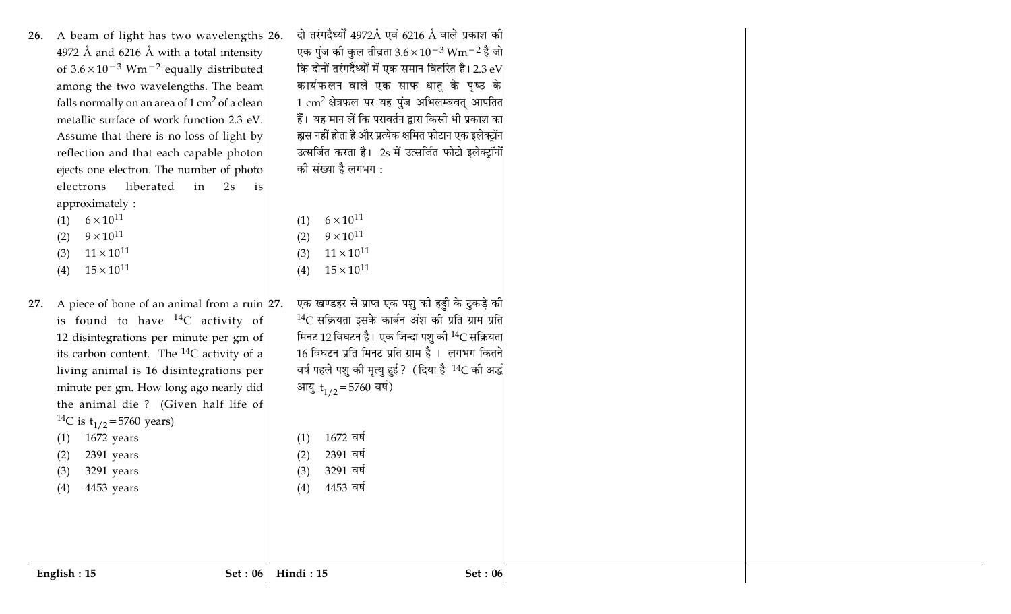| English: 15                                      | Set: 06                                                                        | Hindi: 15                  | <b>Set: 06</b>                                                   |  |
|--------------------------------------------------|--------------------------------------------------------------------------------|----------------------------|------------------------------------------------------------------|--|
|                                                  |                                                                                |                            |                                                                  |  |
|                                                  |                                                                                |                            |                                                                  |  |
| 4453 years<br>(4)                                |                                                                                | 4453 वर्ष<br>(4)           |                                                                  |  |
| (3)<br>3291 years                                |                                                                                | (3)<br>3291 वर्ष           |                                                                  |  |
| 2391 years<br>(2)                                |                                                                                | 2391 वर्ष<br>(2)           |                                                                  |  |
| 1672 years<br>(1)                                |                                                                                | 1672 वर्ष<br>(1)           |                                                                  |  |
| <sup>14</sup> C is t <sub>1/2</sub> =5760 years) |                                                                                |                            |                                                                  |  |
|                                                  | minute per gm. How long ago nearly did<br>the animal die ? (Given half life of | आयु $t_{1/2}$ = 5760 वर्ष) |                                                                  |  |
|                                                  | living animal is 16 disintegrations per                                        |                            | वर्ष पहले पशु की मृत्यु हुई ? (दिया है <sup>14</sup> C की अर्द्ध |  |
|                                                  | its carbon content. The $^{14}C$ activity of a                                 |                            | 16 विघटन प्रति मिनट प्रति ग्राम है। लगभग कितने                   |  |
|                                                  | 12 disintegrations per minute per gm of                                        |                            | मिनट 12 विघटन है। एक जिन्दा पशु की $^{14}$ C सक्रियता            |  |
|                                                  | is found to have $^{14}C$ activity of                                          |                            | $14C$ सक्रियता इसके कार्बन अंश की प्रति ग्राम प्रति              |  |
| 27.                                              | A piece of bone of an animal from a ruin $ 27$ .                               |                            | एक खण्डहर से प्राप्त एक पशु की हड्डी के टुकड़े की                |  |
|                                                  |                                                                                |                            |                                                                  |  |
| $15 \times 10^{11}$<br>(4)                       |                                                                                | $15 \times 10^{11}$<br>(4) |                                                                  |  |
| $11 \times 10^{11}$<br>(3)                       |                                                                                | $11 \times 10^{11}$<br>(3) |                                                                  |  |
| $9 \times 10^{11}$<br>(2)                        |                                                                                | $9 \times 10^{11}$<br>(2)  |                                                                  |  |
| $6 \times 10^{11}$                               |                                                                                | $6 \times 10^{11}$<br>(1)  |                                                                  |  |
| approximately :                                  |                                                                                |                            |                                                                  |  |
| electrons                                        | liberated<br>in<br>2s<br>is                                                    |                            |                                                                  |  |
|                                                  | ejects one electron. The number of photo                                       | को संख्या है लगभग :        |                                                                  |  |
|                                                  | reflection and that each capable photon                                        |                            | उत्सर्जित करता है। 2s में उत्सर्जित फोटो इलेक्ट्रॉनों            |  |
|                                                  | Assume that there is no loss of light by                                       |                            | ह्मस नहीं होता है और प्रत्येक क्षमित फोटान एक इलेक्ट्रॉन         |  |
|                                                  | metallic surface of work function 2.3 eV.                                      |                            | हैं। यह मान लें कि परावर्तन द्वारा किसी भी प्रकाश का             |  |
|                                                  | falls normally on an area of $1 \text{ cm}^2$ of a clean                       |                            | $1 \text{ cm}^2$ क्षेत्रफल पर यह पुंज अभिलम्बवत् आपतित           |  |
|                                                  | among the two wavelengths. The beam                                            |                            | कार्यफलन वाले एक साफ धातु के पृष्ठ के                            |  |
|                                                  | of $3.6 \times 10^{-3}$ Wm <sup>-2</sup> equally distributed                   |                            | कि दोनों तरंगदैर्ध्यों में एक समान वितरित है। 2.3 $\rm eV$       |  |
|                                                  | 4972 Å and 6216 Å with a total intensity                                       |                            | एक पुंज की कुल तीव्रता $3.6 \times 10^{-3}$ Wm $^{-2}$ है जो     |  |
|                                                  | 26. A beam of light has two wavelengths 26.                                    |                            | दो तरंगदैर्ध्यों 4972Å एवं 6216 Å वाले प्रकाश की                 |  |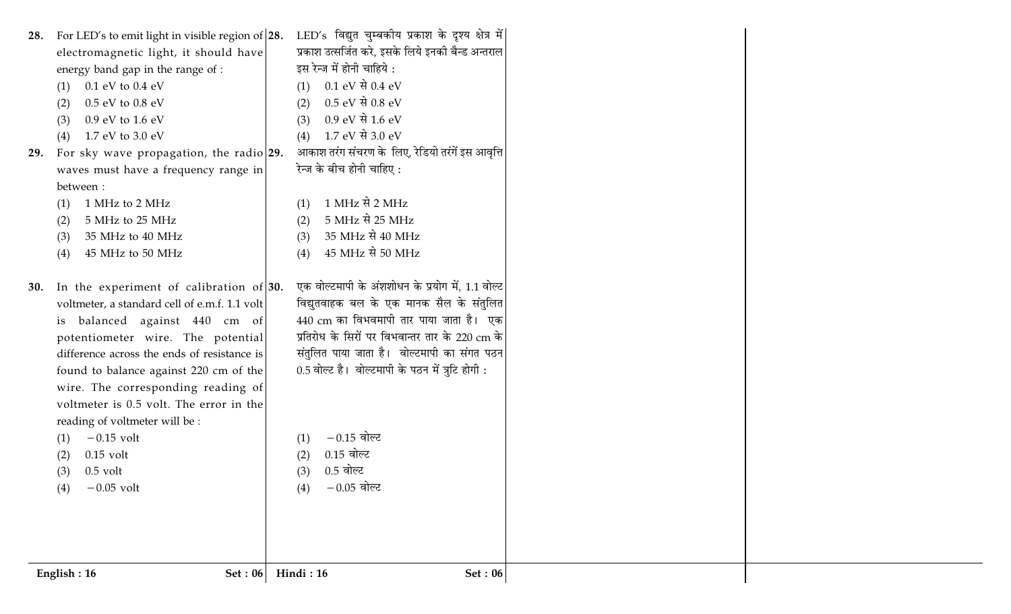| 28. For LED's to emit light in visible region of 28.<br>electromagnetic light, it should have<br>energy band gap in the range of :<br>$0.1$ eV to $0.4$ eV<br>(1)<br>$0.5$ eV to $0.8$ eV<br>(2)<br>0.9 eV to 1.6 eV<br>(3)<br>1.7 eV to 3.0 eV<br>(4)<br>For sky wave propagation, the radio 29.<br>29.<br>waves must have a frequency range in<br>between:<br>1 MHz to 2 MHz<br>(1)<br>5 MHz to 25 MHz<br>(2)<br>35 MHz to 40 MHz<br>(3)<br>45 MHz to 50 MHz<br>(4)                   | LED's विद्युत चुम्बकीय प्रकाश के दृश्य क्षेत्र में <br>प्रकाश उत्सर्जित करे, इसके लिये इनकी बैन्ड अन्तराल<br>इस रेन्ज में होनी चाहिये :<br>$0.1 \text{ eV} \t{R} 0.4 \text{ eV}$<br>(1)<br>$0.5 eV$ से $0.8 eV$<br>(2)<br>$0.9 \text{ eV} \t{R} 1.6 \text{ eV}$<br>(3)<br>1.7 eV से 3.0 eV<br>(4)<br>आकाश तरंग संचरण के लिए, रेडियो तरंगें इस आवृत्ति<br>रेन्ज के बीच होनी चाहिए :<br>$1 \text{ MHz}$ से 2 MHz<br>(1)<br>5 MHz से 25 MHz<br>(2)<br>35 MHz से 40 MHz<br>(3)<br>45 MHz से 50 MHz<br>(4) |
|-----------------------------------------------------------------------------------------------------------------------------------------------------------------------------------------------------------------------------------------------------------------------------------------------------------------------------------------------------------------------------------------------------------------------------------------------------------------------------------------|-------------------------------------------------------------------------------------------------------------------------------------------------------------------------------------------------------------------------------------------------------------------------------------------------------------------------------------------------------------------------------------------------------------------------------------------------------------------------------------------------------|
| In the experiment of calibration of $30$ .<br><b>30.</b><br>voltmeter, a standard cell of e.m.f. 1.1 volt<br>balanced against 440 cm of<br>1S<br>potentiometer wire. The potential<br>difference across the ends of resistance is<br>found to balance against 220 cm of the<br>wire. The corresponding reading of<br>voltmeter is 0.5 volt. The error in the<br>reading of voltmeter will be :<br>$-0.15$ volt<br>(1)<br>$0.15$ volt<br>(2)<br>$0.5$ volt<br>(3)<br>$-0.05$ volt<br>(4) | एक वोल्टमापी के अंशशोधन के प्रयोग में, 1.1 वोल्ट<br>विद्युतवाहक बल के एक मानक सैल के संतुलित<br>440 cm का विभवमापी तार पाया जाता है। एक<br>प्रतिरोध के सिरों पर विभवान्तर तार के 220 cm के<br>संतुलित पाया जाता है। वोल्टमापी का संगत पठन<br>0.5 वोल्ट है। वोल्टमापी के पठन में त्रुटि होगी :<br>$-0.15$ वोल्ट<br>(1)<br>$0.15$ वोल्ट<br>(2)<br>$0.5$ वोल्ट<br>(3)<br>$-0.05$ वोल्ट<br>(4)                                                                                                            |
| English: 16<br>Set: 06                                                                                                                                                                                                                                                                                                                                                                                                                                                                  | Hindi: 16<br><b>Set: 06</b>                                                                                                                                                                                                                                                                                                                                                                                                                                                                           |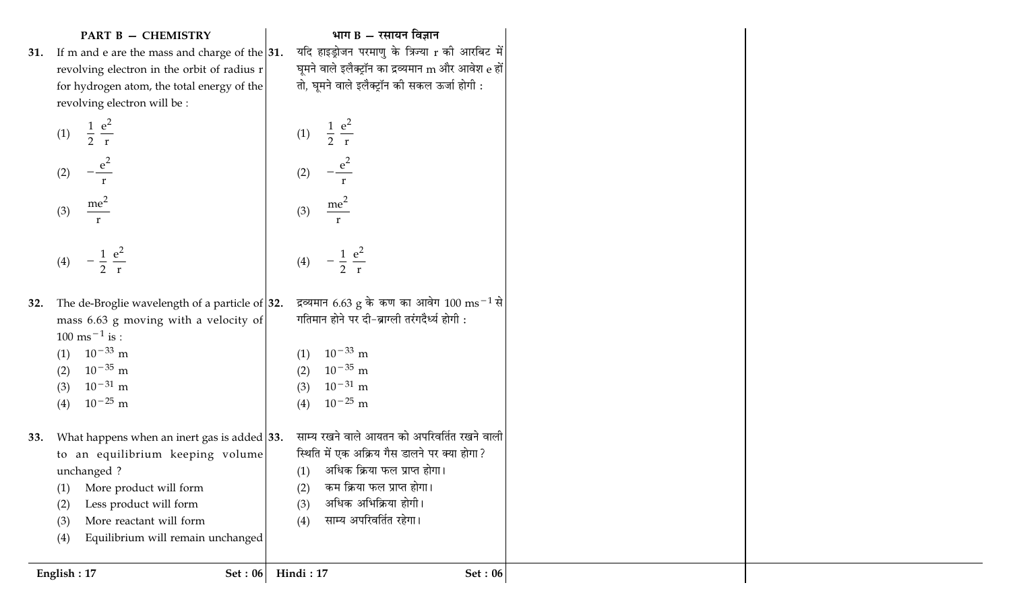### **PART B - CHEMISTRY**

31. If m and e are the mass and charge of the  $|31$ . revolving electron in the orbit of radius r for hydrogen atom, the total energy of the revolving electron will be :

(1) 
$$
\frac{1}{2} \frac{e^2}{r}
$$
  
\n(2)  $-\frac{e^2}{r}$   
\n(3)  $\frac{me^2}{r}$   
\n(4)  $-\frac{1}{2} \frac{e^2}{r}$ 

- द्रव्यमान 6.63 g के कण का आवेग 100  $\mathrm{ms^{-1}}$  से| 32. The de-Broglie wavelength of a particle of  $|32$ . mass 6.63 g moving with a velocity of  $100 \text{ ms}^{-1}$  is :  $(1)$  10<sup>-33</sup> m  $10^{-35}$  m  $(2)$  $10^{-31}$  m  $(3)$ 
	- $10^{-25}$  m  $(4)$
- 33. What happens when an inert gas is added 33. to an equilibrium keeping volume unchanged ?
	- More product will form  $(1)$
	- Less product will form  $(2)$
	- More reactant will form  $(3)$
	- Equilibrium will remain unchanged  $(4)$

भाग  $B - \tau$ सायन विज्ञान

यदि हाइड्रोजन परमाणु के त्रिज्या r की आरबिट में घूमने वाले इलैक्ट्रॉन का द्रव्यमान m और आवेश e हों तो, घूमने वाले इलैक्ट्रॉन की सकल ऊर्जा होगी :

(1)  $\frac{1}{2} \frac{e^2}{r}$ 

 $\frac{\text{me}^2}{\text{me}^2}$ 

(4)  $-\frac{1}{2} \frac{e^2}{r}$ 

 $10^{-33}$  m

 $10^{-35}$  m

 $10^{-31}$  m

 $10^{-25}$  m

गतिमान होने पर दी-ब्राग्ली तरंगदैर्ध्य होगी :

साम्य रखने वाले आयतन को अपरिवर्तित रखने वाली

स्थिति में एक अक्रिय गैस डालने पर क्या होगा?

अधिक क्रिया फल प्राप्त होगा।

कम क्रिया फल प्राप्त होगा।

अधिक अभिक्रिया होगी।

साम्य अपरिवर्तित रहेगा।

 $(2)$ 

 $(3)$ 

 $(2)$ 

 $(3)$ 

 $(4)$ 

 $(1)$ 

 $(2)$ 

 $(3)$ 

 $(4)$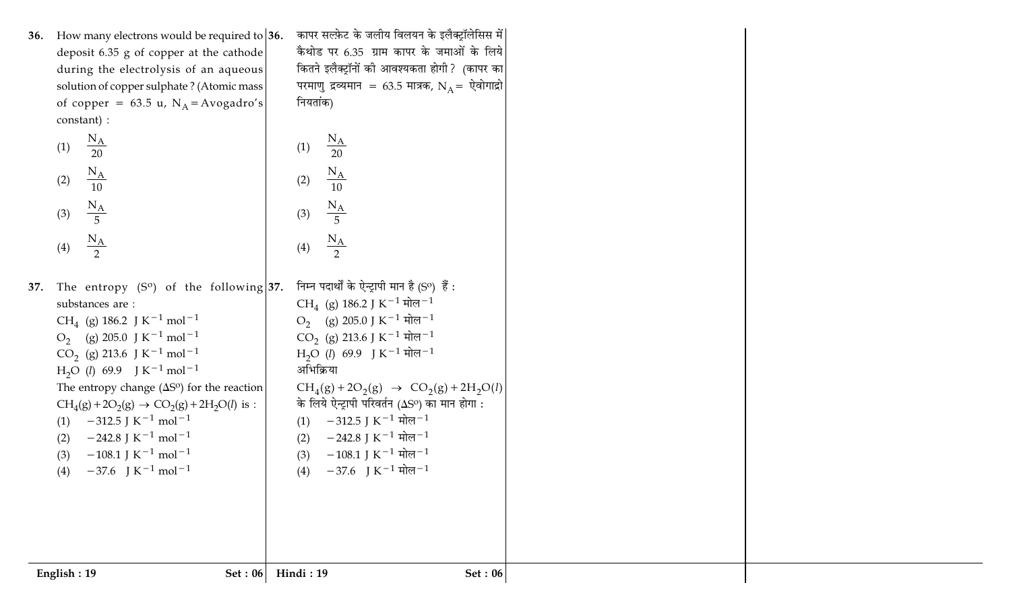| 36. How many electrons would be required to $ 36$ .<br>deposit 6.35 g of copper at the cathode<br>during the electrolysis of an aqueous<br>solution of copper sulphate? (Atomic mass<br>of copper = 63.5 u, $N_A$ = Avogadro's<br>constant) :<br>$\frac{N_A}{20}$<br>(1)<br>$\frac{N_A}{10}$<br>(2)                                                                                                                                                                                                                                                                                                                                                                        | कापर सल्फ़ेट के जलीय विलयन के इलैक्ट्रॉलेसिस में<br>कैथोड पर 6.35 ग्राम कापर के जमाओं के लिये<br>कितने इलैक्ट्रॉनों की आवश्यकता होगी? (कापर का<br>परमाणु द्रव्यमान = 63.5 मात्रक, N <sub>A</sub> = ऐवोगाद्रो<br>नियतांक)<br>$\frac{N_A}{20}$<br>(1)<br>$\frac{N_A}{10}$<br>(2)                                                                                                                                                                                                                                                                                                                                                                        |
|----------------------------------------------------------------------------------------------------------------------------------------------------------------------------------------------------------------------------------------------------------------------------------------------------------------------------------------------------------------------------------------------------------------------------------------------------------------------------------------------------------------------------------------------------------------------------------------------------------------------------------------------------------------------------|-------------------------------------------------------------------------------------------------------------------------------------------------------------------------------------------------------------------------------------------------------------------------------------------------------------------------------------------------------------------------------------------------------------------------------------------------------------------------------------------------------------------------------------------------------------------------------------------------------------------------------------------------------|
| $\frac{N_A}{5}$<br>(3)<br>$\frac{N_A}{2}$<br>(4)                                                                                                                                                                                                                                                                                                                                                                                                                                                                                                                                                                                                                           | $\frac{N_A}{5}$<br>(3)<br>$\frac{N_A}{2}$<br>(4)                                                                                                                                                                                                                                                                                                                                                                                                                                                                                                                                                                                                      |
| 37. The entropy $(S^0)$ of the following 37.<br>substances are:<br>CH <sub>4</sub> (g) 186.2 J K <sup>-1</sup> mol <sup>-1</sup><br>$O_2$ (g) 205.0 J K <sup>-1</sup> mol <sup>-1</sup><br>CO <sub>2</sub> (g) 213.6 J K <sup>-1</sup> mol <sup>-1</sup><br>$H_2O$ ( <i>l</i> ) 69.9 J K <sup>-1</sup> mol <sup>-1</sup><br>The entropy change $(\Delta S^{\circ})$ for the reaction<br>$CH_4(g) + 2O_2(g) \rightarrow CO_2(g) + 2H_2O(l)$ is :<br>$-312.5$ J K <sup>-1</sup> mol <sup>-1</sup><br>(1)<br>$-242.8$ J K <sup>-1</sup> mol <sup>-1</sup><br>(2)<br>$-108.1$ J K <sup>-1</sup> mol <sup>-1</sup><br>(3)<br>$-37.6$ J K <sup>-1</sup> mol <sup>-1</sup><br>(4) | निम्न पदार्थों के ऐन्ट्रापी मान है (Sº) हैं :<br>CH <sub>4</sub> (g) 186.2 J K <sup>-1</sup> मोल <sup>-1</sup><br>O <sub>2</sub> (g) 205.0 J K <sup>-1</sup> मोल <sup>-1</sup><br>CO <sub>2</sub> (g) 213.6 J K <sup>-1</sup> मोल <sup>-1</sup><br>$H_2O$ ( <i>l</i> ) 69.9 J K <sup>-1</sup> मोल <sup>-1</sup><br>अभिक्रिया<br>$CH_4(g) + 2O_2(g) \rightarrow CO_2(g) + 2H_2O(l)$<br>के लिये ऐन्ट्रापी परिवर्तन ( $\Delta S^{\rm o}$ ) का मान होगा :<br>(1) $-312.5$ J K <sup>-1</sup> मोल <sup>-1</sup><br>$-242.8$ J K $^{-1}$ मोल $^{-1}$<br>(2)<br>$-108.1$ J K $^{-1}$ मोल $^{-1}$<br>(3)<br>$-37.6$ J K <sup>-1</sup> मोल <sup>-1</sup><br>(4) |
| English: 19<br>Set : $06$                                                                                                                                                                                                                                                                                                                                                                                                                                                                                                                                                                                                                                                  | Hindi: 19<br>Set: $06$                                                                                                                                                                                                                                                                                                                                                                                                                                                                                                                                                                                                                                |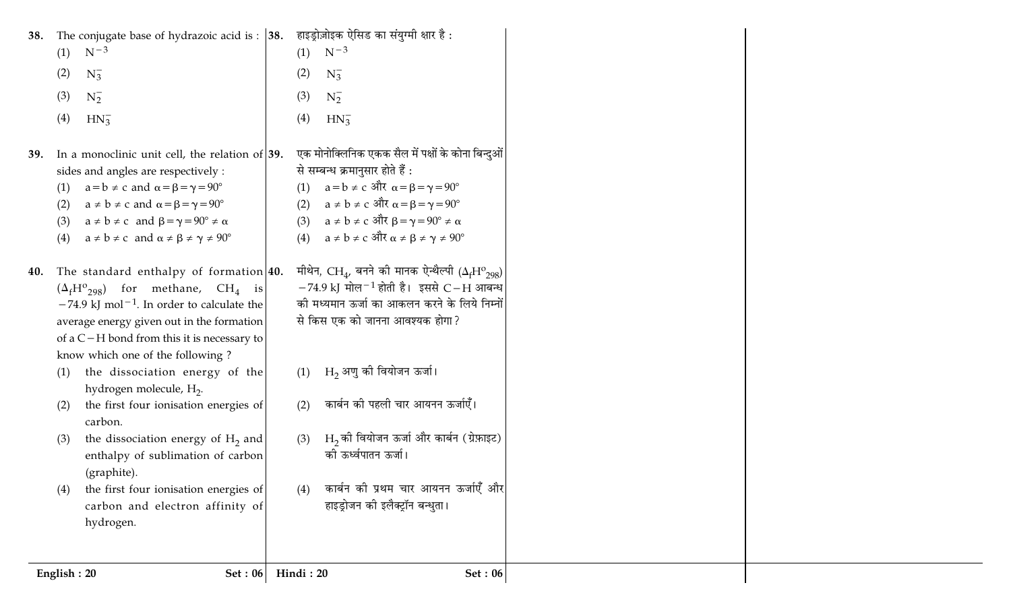| 38.                             | The conjugate base of hydrazoic acid is : $ 38$ .                                                                                                                                                                                                                                                                                                                  |                          | हाइड्रोज़ोइक ऐसिड का संयुग्मी क्षार है :                                                                                                                                                                                                                                                                                 |
|---------------------------------|--------------------------------------------------------------------------------------------------------------------------------------------------------------------------------------------------------------------------------------------------------------------------------------------------------------------------------------------------------------------|--------------------------|--------------------------------------------------------------------------------------------------------------------------------------------------------------------------------------------------------------------------------------------------------------------------------------------------------------------------|
| (1)                             | $N^{-3}$                                                                                                                                                                                                                                                                                                                                                           | (1)                      | $N^{-3}$                                                                                                                                                                                                                                                                                                                 |
| (2)                             | $N_3^-$                                                                                                                                                                                                                                                                                                                                                            | (2)                      | $N_3^-$                                                                                                                                                                                                                                                                                                                  |
| (3)                             | $N_2^-$                                                                                                                                                                                                                                                                                                                                                            | (3)                      | $N_2^-$                                                                                                                                                                                                                                                                                                                  |
| (4)                             | $HN_3^-$                                                                                                                                                                                                                                                                                                                                                           | (4)                      | $HN_3^-$                                                                                                                                                                                                                                                                                                                 |
| 39.<br>(1)<br>(2)<br>(3)<br>(4) | In a monoclinic unit cell, the relation of $ 39$ .<br>sides and angles are respectively :<br>$a = b \neq c$ and $\alpha = \beta = \gamma = 90^{\circ}$<br>$a \neq b \neq c$ and $\alpha = \beta = \gamma = 90^{\circ}$<br>$a \neq b \neq c$ and $\beta = \gamma = 90^{\circ} \neq \alpha$<br>$a \neq b \neq c$ and $\alpha \neq \beta \neq \gamma \neq 90^{\circ}$ | (1)<br>(2)<br>(3)<br>(4) | एक मोनोक्लिनिक एकक सैल में पक्षों के कोना बिन्दुओं <br>से सम्बन्ध क्रमानुसार होते हैं :<br>$a = b \neq c$ और $\alpha = \beta = \gamma = 90^{\circ}$<br>a ≠ b ≠ c और $\alpha$ = $\beta$ = $\gamma$ = $90^{\circ}$<br>a ≠ b ≠ c और β = γ = 90° ≠ α<br>$a \neq b \neq c$ और $\alpha \neq \beta \neq \gamma \neq 90^{\circ}$ |
| 40.                             | The standard enthalpy of formation $ 40.$<br>$(\Delta_f H^0_{298})$ for methane, CH <sub>4</sub> is<br>$-74.9$ kJ mol <sup>-1</sup> . In order to calculate the<br>average energy given out in the formation<br>of a $C-H$ bond from this it is necessary to<br>know which one of the following?                                                                   |                          | मीथेन, CH <sub>4</sub> , बनने की मानक ऐन्थैल्पी ( $\Delta_f$ H <sup>o</sup> <sub>298</sub> )<br>$-74.9$ kJ मोल $^{-1}$ होती है। इससे C–H आबन्ध<br>की मध्यमान ऊर्जा का आकलन करने के लिये निम्नों<br>से किस एक को जानना आवश्यक होगा?                                                                                       |
| (1)<br>(2)                      | the dissociation energy of the<br>hydrogen molecule, H <sub>2</sub> .<br>the first four ionisation energies of<br>carbon.                                                                                                                                                                                                                                          | (1)<br>(2)               | $H_2$ अणु की वियोजन ऊर्जा।<br>कार्बन की पहली चार आयनन ऊर्जाएँ।                                                                                                                                                                                                                                                           |
| (3)                             | the dissociation energy of $H_2$ and<br>enthalpy of sublimation of carbon<br>(graphite).                                                                                                                                                                                                                                                                           | (3)                      | $H_2$ को वियोजन ऊर्जा और कार्बन (ग्रेफ़ाइट)<br>की ऊर्ध्वपातन ऊर्जा।                                                                                                                                                                                                                                                      |
| (4)                             | the first four ionisation energies of<br>carbon and electron affinity of<br>hydrogen.                                                                                                                                                                                                                                                                              | (4)                      | कार्बन की प्रथम चार आयनन ऊर्जाएँ और<br>हाइड्रोजन की इलैक्ट्रॉन बन्धुता।                                                                                                                                                                                                                                                  |
| English: 20                     | Set: 06                                                                                                                                                                                                                                                                                                                                                            | Hindi: 20                | <b>Set: 06</b>                                                                                                                                                                                                                                                                                                           |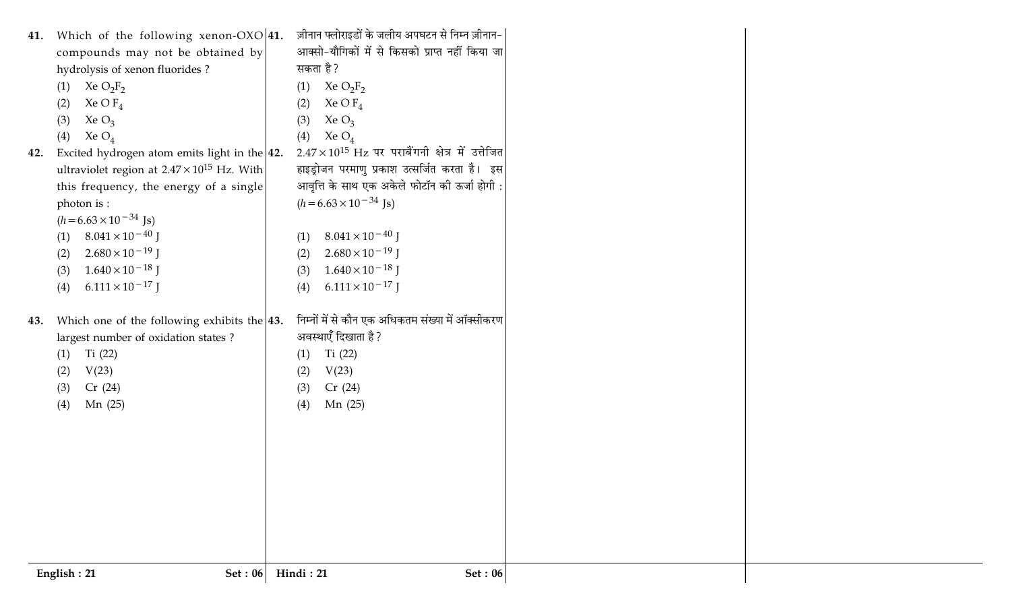|     | Cr(24)<br>(3)<br>Mn (25)<br>(4)                       | Cr(24)<br>(3)<br>Mn(25)<br>(4)                                                                 |  |
|-----|-------------------------------------------------------|------------------------------------------------------------------------------------------------|--|
|     | V(23)<br>(2)                                          | V(23)<br>(2)                                                                                   |  |
|     | Ti $(22)$<br>(1)                                      | Ti $(22)$<br>(1)                                                                               |  |
|     | largest number of oxidation states?                   | अवस्थाएँ दिखाता है ?                                                                           |  |
| 43. | Which one of the following exhibits the $ 43$ .       | निम्नों में से कौन एक अधिकतम संख्या में ऑक्सीकरण                                               |  |
|     | $6.111 \times 10^{-17}$ J<br>(4)                      | $6.111 \times 10^{-17}$ J<br>(4)                                                               |  |
|     | $1.640 \times 10^{-18}$ J<br>(3)                      | $1.640 \times 10^{-18}$ J<br>(3)                                                               |  |
|     | $2.680 \times 10^{-19}$ J<br>(2)                      | $2.680 \times 10^{-19}$ J<br>(2)                                                               |  |
|     | $8.041 \times 10^{-40}$ J<br>(1)                      | $8.041 \times 10^{-40}$ J<br>(1)                                                               |  |
|     | $(h=6.63\times10^{-34} \text{ Js})$                   |                                                                                                |  |
|     | this frequency, the energy of a single<br>photon is : | $(h = 6.63 \times 10^{-34}$ Js)                                                                |  |
|     | ultraviolet region at $2.47 \times 10^{15}$ Hz. With  | हाइड्रोजन परमाणु प्रकाश उत्सर्जित करता है। इस<br>आवृत्ति के साथ एक अकेले फोटॉन की ऊर्जा होगी : |  |
| 42. | Excited hydrogen atom emits light in the $ 42$ .      | $2.47 \times 10^{15}$ Hz पर पराबैंगनी क्षेत्र में उत्तेजित                                     |  |
|     | Xe $O_4$<br>(4)                                       | Xe $O_4$<br>(4)                                                                                |  |
|     | Xe $O_3$<br>(3)                                       | Xe $O_3$<br>(3)                                                                                |  |
|     | Xe O $F_4$<br>(2)                                     | Xe O $F_4$<br>(2)                                                                              |  |
|     | Xe $O_2F_2$<br>(1)                                    | Xe $O_2F_2$<br>(1)                                                                             |  |
|     | hydrolysis of xenon fluorides?                        | सकता है?                                                                                       |  |
|     | compounds may not be obtained by                      | आक्सो-यौगिकों में से किसको प्राप्त नहीं किया जा                                                |  |
|     | 41. Which of the following xenon-OXO 41.              | ज़ीनान फ्लोराइडों के जलीय अपघटन से निम्न ज़ीनान-                                               |  |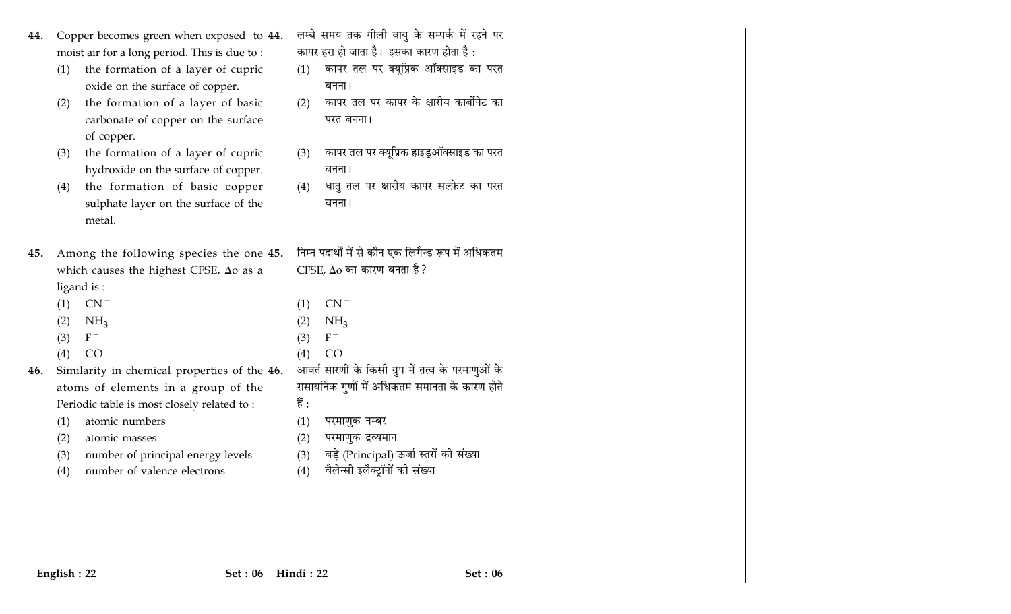- 44. Copper becomes green when exposed to  $|44$ . moist air for a long period. This is due to:
	- the formation of a layer of cupric  $(1)$ oxide on the surface of copper.
	- the formation of a layer of basic  $(2)$ carbonate of copper on the surface of copper.
	- the formation of a layer of cupric  $(3)$ hydroxide on the surface of copper.
	- the formation of basic copper  $(4)$ sulphate layer on the surface of the metal.
- 45. Among the following species the one  $|45$ . which causes the highest CFSE,  $\Delta$ o as a ligand is:
	- $(1)$  CN<sup>-</sup>
	- $NH<sub>3</sub>$  $(2)$
	- $F^ (3)$
	- CO  $(4)$
- Similarity in chemical properties of the  $|46$ . 46. atoms of elements in a group of the Periodic table is most closely related to:
	- atomic numbers  $(1)$
	- atomic masses  $(2)$
	- number of principal energy levels  $(3)$
	- number of valence electrons  $(4)$
- लम्बे समय तक गीली वायु के सम्पर्क में रहने पर कापर हरा हो जाता है। इसका कारण होता है :
- कापर तल पर क्यूप्रिक ऑक्साइड का परत  $(1)$ बनना।
- कापर तल पर कापर के क्षारीय कार्बोनेट का  $(2)$ परत बनना।
- कापर तल पर क्यूप्रिक हाइड्ऑक्साइड का परत  $(3)$ बनना।
- धातु तल पर क्षारीय कापर सल्फ़ेट का परत  $(4)$ बनना।
- निम्न पदार्थों में से कौन एक लिगैन्ड रूप में अधिकतम CFSE,  $\Delta$ o का कारण बनता है?
	- $CN^ (1)$  $NH<sub>3</sub>$  $(2)$
	- $F^ (3)$
	- CO  $(4)$
- आवर्त सारणी के किसी ग्रुप में तत्व के परमाणुओं के रासायनिक गुणों में अधिकतम समानता के कारण होते
- हैं :  $(1)$ परमाणुक नम्बर
- परमाणुक द्रव्यमान  $(2)$
- बड़े (Principal) ऊर्जा स्तरों की संख्या  $(3)$
- वैलेन्सी इलैक्ट्रॉनों की संख्या  $(4)$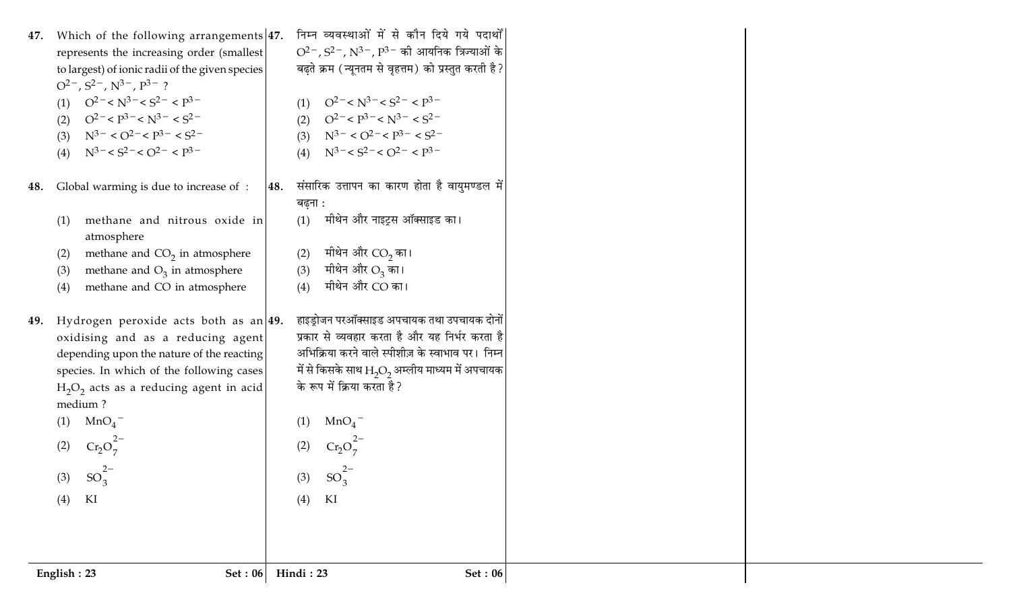|     | Set : $06$<br>English: 23                                                                                                               |     | Hindi: 23<br>Set: 06                                                                          |  |
|-----|-----------------------------------------------------------------------------------------------------------------------------------------|-----|-----------------------------------------------------------------------------------------------|--|
|     |                                                                                                                                         |     |                                                                                               |  |
|     | KI<br>(4)                                                                                                                               |     | KI<br>(4)                                                                                     |  |
|     | (3) $SO_3^{2-}$                                                                                                                         |     | (3) $SO_3^{2-}$                                                                               |  |
|     | $Cr_2O_7^2$<br>(2)                                                                                                                      |     | $Cr_2O_7^{2-}$                                                                                |  |
|     |                                                                                                                                         |     |                                                                                               |  |
|     | medium?<br>(1) $MnO_4^-$                                                                                                                |     | MnO <sub>4</sub><br>(1)                                                                       |  |
|     | $H_2O_2$ acts as a reducing agent in acid                                                                                               |     | के रूप में क्रिया करता है?                                                                    |  |
|     | species. In which of the following cases                                                                                                |     | में से किसके साथ ${\rm H}_{\rm 2} {\rm O}_{\rm 2}$ अम्लीय माध्यम में अपचायक                   |  |
|     | depending upon the nature of the reacting                                                                                               |     | अभिक्रिया करने वाले स्पीशीज़ के स्वाभाव पर। निम्न                                             |  |
| 49. | Hydrogen peroxide acts both as an $ 49.$<br>oxidising and as a reducing agent                                                           |     | हाइड्रोजन परऑक्साइड अपचायक तथा उपचायक दोनों<br>प्रकार से व्यवहार करता है और यह निर्भर करता है |  |
|     | methane and CO in atmosphere<br>(4)                                                                                                     |     | (4)                                                                                           |  |
|     | methane and $O_3$ in atmosphere<br>(3)                                                                                                  |     | मीथेन और $\mathrm{O}_3$ का।<br>(3)<br>मीथेन और CO का।                                         |  |
|     | methane and $CO2$ in atmosphere<br>(2)                                                                                                  |     | मीथेन और CO <sub>2</sub> का।<br>(2)                                                           |  |
|     | atmosphere                                                                                                                              |     |                                                                                               |  |
|     | methane and nitrous oxide in<br>(1)                                                                                                     |     | मीथेन और नाइट्रस ऑक्साइड का।<br>(1)                                                           |  |
| 48. | Global warming is due to increase of :                                                                                                  | 48. | संसारिक उत्तापन का कारण होता है वायुमण्डल में<br>बढ़ना :                                      |  |
|     |                                                                                                                                         |     |                                                                                               |  |
|     | (4) $N^3 - S2 - O2 - P3 -$                                                                                                              |     | (4) $N^3 = < S^2 = < Q^2 = < P^3 =$                                                           |  |
|     | (3) $N^{3-} < O^{2-} < P^{3-} < S^{2-}$                                                                                                 |     | (3) $N^3$ <sup>-</sup> < $O^2$ <sup>-</sup> < $P^3$ <sup>-</sup> < $S^2$ <sup>-</sup>         |  |
|     | (2) $Q^2 - P^3 - N^3 - S^2$                                                                                                             |     | (2) $Q^2 - P^3 - N^3 - S^2$                                                                   |  |
|     | $O^{2-}$ , $S^{2-}$ , $N^{3-}$ , $P^{3-}$ ?<br>$Q^2$ <sup>-</sup> < $N^3$ <sup>-</sup> < $S^2$ <sup>-</sup> < $P^3$ <sup>-</sup><br>(1) |     | $Q^2$ <sup>-</sup> < $N^3$ <sup>-</sup> < $S^2$ <sup>-</sup> < $P^3$ <sup>-</sup><br>(1)      |  |
|     | to largest) of ionic radii of the given species                                                                                         |     | बढ़ते क्रम (न्यूनतम से वृहत्तम) को प्रस्तुत करती है ?                                         |  |
|     | represents the increasing order (smallest)                                                                                              |     | $O^{2-}$ , $S^{2-}$ , $N^{3-}$ , $P^{3-}$ की आयनिक त्रिज्याओं के                              |  |
| 47. | Which of the following arrangements $47.$                                                                                               |     | निम्न व्यवस्थाओं में से कौन दिये गये पदार्थों                                                 |  |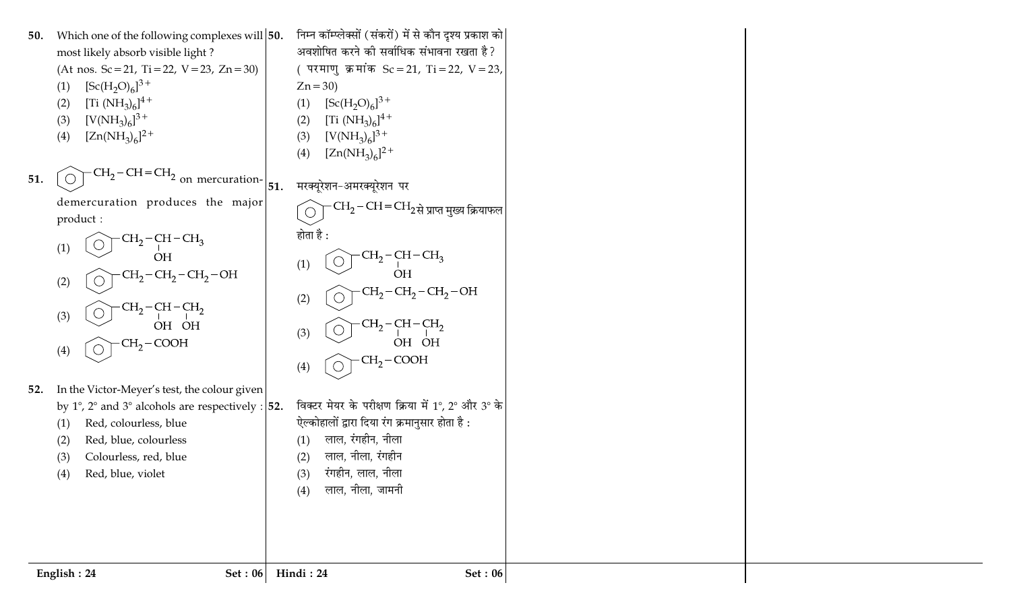निम्न कॉम्प्लेक्सों (संकरों) में से कौन दृश्य प्रकाश को $\vert$ 50. Which one of the following complexes will 50. अवशोषित करने की सर्वाधिक संभावना रखता है? most likely absorb visible light? (At nos.  $Sc = 21$ , Ti = 22, V = 23, Zn = 30) (परमाणु क्रमांक Sc = 21, Ti = 22, V = 23,  $[Sc(H<sub>2</sub>O)<sub>6</sub>]^{3+}$  $Zn = 30$  $(1)$ [Ti  $(NH_3)_6]^{4+}$  $[Sc(H<sub>2</sub>O)<sub>6</sub>]^{3+}$  $(2)$  $(1)$  $[V(NH_3)_6]^{3+}$  $[Ti (NH<sub>3</sub>)<sub>6</sub>]<sup>4+</sup>$  $(3)$  $(2)$  $[Zn(NH_3)_6]^2$ <sup>+</sup>  $[V(NH_3)_6]^{3+}$  $(4)$  $(3)$  $[Zn(NH_3)_6]^2$ <sup>+</sup>  $(4)$  $-CH<sub>2</sub>-CH=CH<sub>2</sub>$ 51. on mercuration-मरक्यूरेशन-अमरक्यूरेशन पर 51. demercuration produces the major  $\cdot$ CH $_{2}$ –CH $=$ CH $_{2}$ से प्राप्त मुख्य क्रियाफल  $\bigcirc$ product: होता है :  $CH<sub>2</sub>-CH-CH<sub>3</sub>$  $\bigcirc$  $(1)$  $CH<sub>2</sub>-CH-CH<sub>2</sub>$ **OH**  $(1)$  $CH<sub>2</sub>-CH<sub>2</sub>-CH<sub>2</sub>-OH$ **OH**  $(2)$  $\bigcirc$  $CH<sub>2</sub>-CH<sub>2</sub>-CH<sub>2</sub>-OH$  $(2)$  $CH<sub>2</sub>-CH-CH<sub>2</sub>$  $\bigcirc$  $(3)$ OH OH  $CH<sub>2</sub>$ –CH–CH<sub>2</sub>  $(3)$  $CH<sub>2</sub>$  – COOH OH OH  $(4)$  $\bigcirc$  $CH<sub>2</sub>$  – COOH  $\bigcirc$  $(4)$ 52. In the Victor-Meyer's test, the colour given विक्टर मेयर के परीक्षण क्रिया में 1°, 2° और 3° के by 1°, 2° and 3° alcohols are respectively :  $\vert$ 52. ऐल्कोहालों द्वारा दिया रंग क्रमानुसार होता है: Red, colourless, blue  $(1)$ लाल, रंगहीन, नीला Red, blue, colourless  $(2)$  $(1)$ लाल, नीला, रंगहीन Colourless, red, blue  $(2)$  $(3)$ रंगहीन, लाल, नीला Red, blue, violet  $(4)$  $(3)$ लाल, नीला, जामनी  $(4)$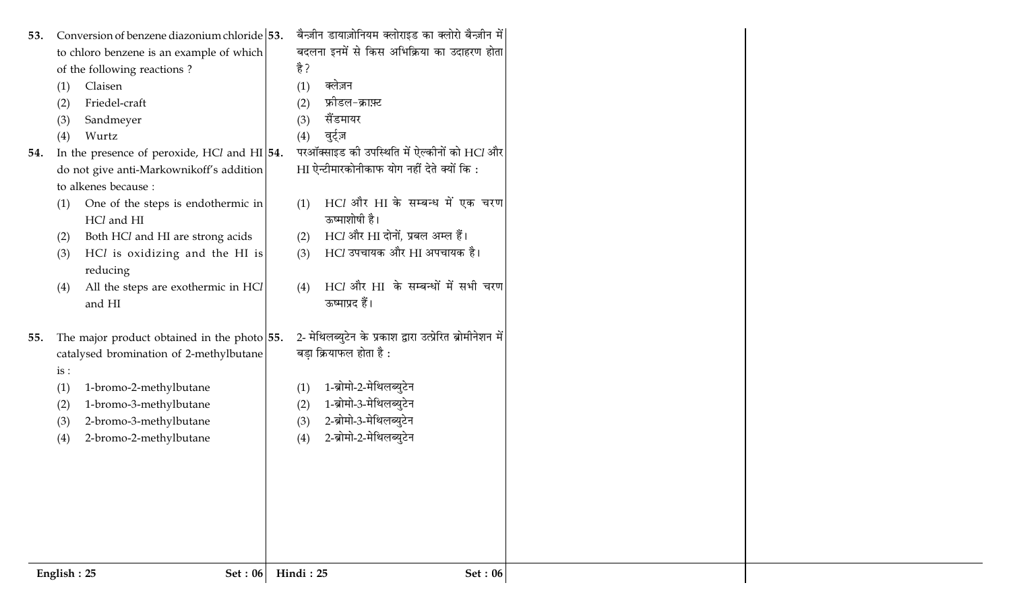| 2- मेथिलब्युटेन के प्रकाश द्वारा उत्प्रेरित ब्रोमीनेशन में<br>The major product obtained in the photo $ 55$ .<br>बड़ा क्रियाफल होता है :<br>catalysed bromination of 2-methylbutane<br>1-ब्रोमो-2-मेथिलब्युटेन<br>1-bromo-2-methylbutane<br>(1)<br>1-ब्रोमो-3-मेथिलब्युटेन<br>1-bromo-3-methylbutane<br>(2)<br>2-ब्रोमो-3-मेथिलब्युटेन<br>2-bromo-3-methylbutane<br>(3) |
|-------------------------------------------------------------------------------------------------------------------------------------------------------------------------------------------------------------------------------------------------------------------------------------------------------------------------------------------------------------------------|
|                                                                                                                                                                                                                                                                                                                                                                         |
| 2-ब्रोमो-2-मेथिलब्युटेन                                                                                                                                                                                                                                                                                                                                                 |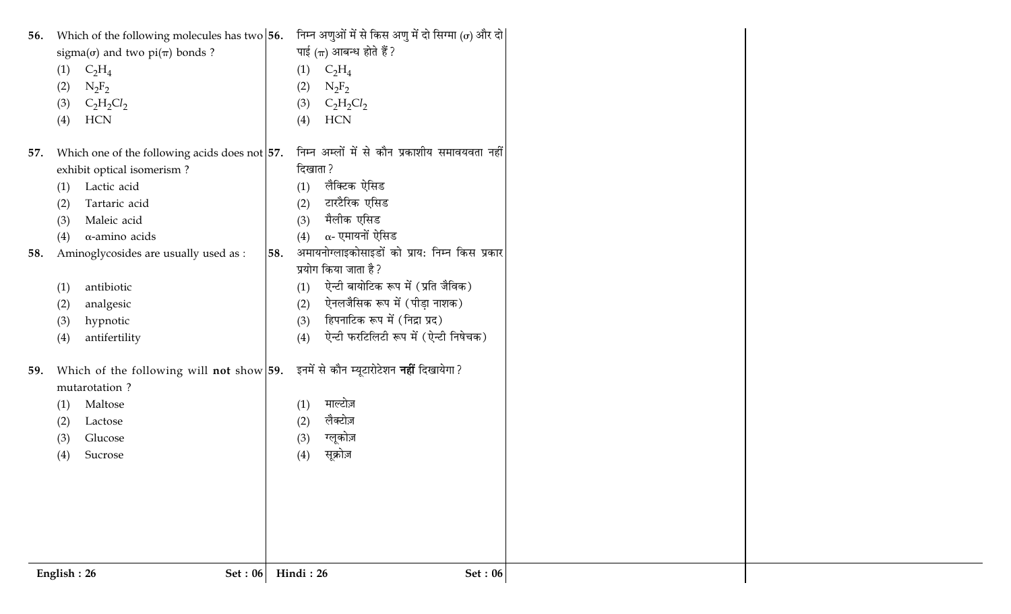| Which of the following molecules has two $56$ .<br>56.<br>sigma( $\sigma$ ) and two pi( $\pi$ ) bonds ?<br>(1)<br>$C_2H_4$<br>$N_2F_2$<br>(2)<br>$C_2H_2Cl_2$<br>(3)<br><b>HCN</b><br>(4)  | निम्न अणुओं में से किस अणु में दो सिग्मा ( $\sigma$ ) और दो<br>पाई $(\pi)$ आबन्ध होते हैं ?<br>$C_2H_4$<br>(1)<br>$N_2F_2$<br>(2)<br>$C_2H_2Cl_2$<br>(3)<br><b>HCN</b><br>(4)                                                                                 |
|--------------------------------------------------------------------------------------------------------------------------------------------------------------------------------------------|---------------------------------------------------------------------------------------------------------------------------------------------------------------------------------------------------------------------------------------------------------------|
| Which one of the following acids does not $ 57$ .<br>57.<br>exhibit optical isomerism?<br>Lactic acid<br>(1)<br>Tartaric acid<br>(2)<br>Maleic acid<br>(3)<br>$\alpha$ -amino acids<br>(4) | निम्न अम्लों में से कौन प्रकाशीय समावयवता नहीं<br>दिखाता ?<br>लैक्टिक ऐसिड<br>(1)<br>टारटैरिक एसिड<br>(2)<br>मैलीक एसिड<br>(3)<br>$\alpha$ - एमायनों ऐसिड<br>(4)                                                                                              |
| Aminoglycosides are usually used as :<br>58.<br>antibiotic<br>(1)<br>analgesic<br>(2)<br>hypnotic<br>(3)<br>antifertility<br>(4)                                                           | अमायनोग्लाइकोसाइडों को प्राय: निम्न किस प्रकार<br>58.<br>प्रयोग किया जाता है ?<br>ऐन्टी बायोटिक रूप में (प्रति जैविक)<br>(1)<br>ऐनलजैसिक रूप में (पीड़ा नाशक)<br>(2)<br>हिपनाटिक रूप में (निद्रा प्रद)<br>(3)<br>ऐन्टी फरटिलिटी रूप में (ऐन्टी निषेचक)<br>(4) |
| Which of the following will not show $59$ .<br>59.<br>mutarotation?<br>Maltose<br>(1)<br>(2)<br>Lactose<br>(3)<br>Glucose<br>(4)<br>Sucrose                                                | इनमें से कौन म्यूटारोटेशन <b>नहीं</b> दिखायेगा?<br>माल्टोज़<br>(1)<br>लैक्टोज़<br>(2)<br>ग्लूकोज़<br>(3)<br>सूक्रोज़<br>(4)                                                                                                                                   |
| English: 26<br>Set : $06$                                                                                                                                                                  | Hindi: 26<br>Set: 06                                                                                                                                                                                                                                          |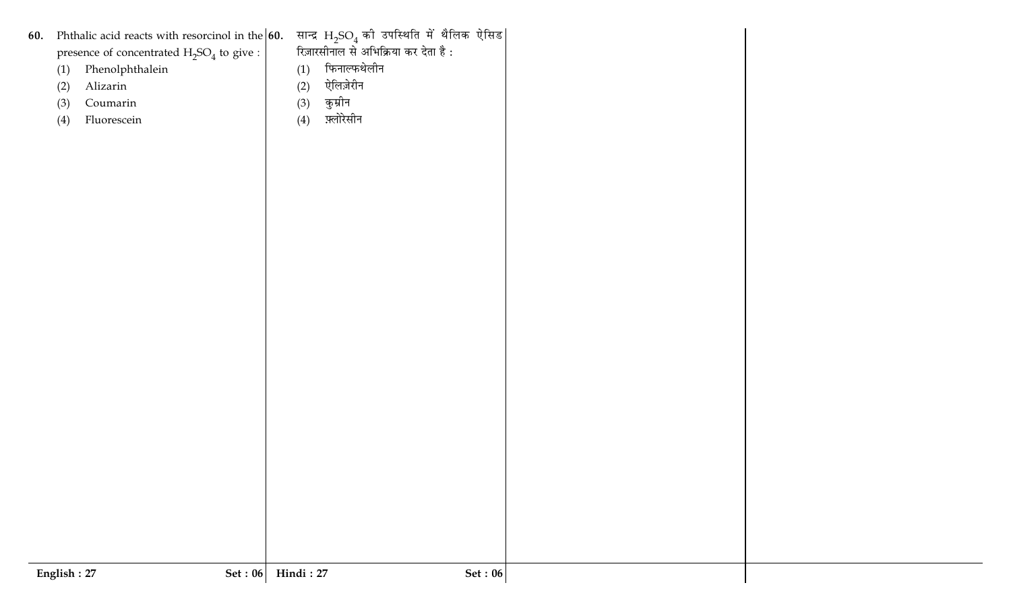| रिज़ारसीनाल से अभिक्रिया कर देता है :<br>presence of concentrated $\rm H_2SO_4$ to give :<br>फिनाल्फथेलीन<br>Phenolphthalein<br>(1)<br>(1)<br>ऐलिज़ेरीन<br>Alizarin<br>(2)<br>(2)<br>कुम्रीन<br>Coumarin<br>(3)<br>(3)<br>फ़्लोरेसीन<br>Fluorescein<br>(4)<br>(4)<br>Hindi: 27<br>English: 27<br>Set : $06$<br>Set : $06$ | 60. | Phthalic acid reacts with resorcinol in the 60. सान्द्र $H_2SO_4$ की उपस्थिति में थैलिक ऐसिड |  |  |
|---------------------------------------------------------------------------------------------------------------------------------------------------------------------------------------------------------------------------------------------------------------------------------------------------------------------------|-----|----------------------------------------------------------------------------------------------|--|--|
|                                                                                                                                                                                                                                                                                                                           |     |                                                                                              |  |  |
|                                                                                                                                                                                                                                                                                                                           |     |                                                                                              |  |  |
|                                                                                                                                                                                                                                                                                                                           |     |                                                                                              |  |  |
|                                                                                                                                                                                                                                                                                                                           |     |                                                                                              |  |  |
|                                                                                                                                                                                                                                                                                                                           |     |                                                                                              |  |  |
|                                                                                                                                                                                                                                                                                                                           |     |                                                                                              |  |  |
|                                                                                                                                                                                                                                                                                                                           |     |                                                                                              |  |  |
|                                                                                                                                                                                                                                                                                                                           |     |                                                                                              |  |  |
|                                                                                                                                                                                                                                                                                                                           |     |                                                                                              |  |  |
|                                                                                                                                                                                                                                                                                                                           |     |                                                                                              |  |  |
|                                                                                                                                                                                                                                                                                                                           |     |                                                                                              |  |  |
|                                                                                                                                                                                                                                                                                                                           |     |                                                                                              |  |  |
|                                                                                                                                                                                                                                                                                                                           |     |                                                                                              |  |  |
|                                                                                                                                                                                                                                                                                                                           |     |                                                                                              |  |  |
|                                                                                                                                                                                                                                                                                                                           |     |                                                                                              |  |  |
|                                                                                                                                                                                                                                                                                                                           |     |                                                                                              |  |  |
|                                                                                                                                                                                                                                                                                                                           |     |                                                                                              |  |  |
|                                                                                                                                                                                                                                                                                                                           |     |                                                                                              |  |  |
|                                                                                                                                                                                                                                                                                                                           |     |                                                                                              |  |  |
|                                                                                                                                                                                                                                                                                                                           |     |                                                                                              |  |  |
|                                                                                                                                                                                                                                                                                                                           |     |                                                                                              |  |  |
|                                                                                                                                                                                                                                                                                                                           |     |                                                                                              |  |  |
|                                                                                                                                                                                                                                                                                                                           |     |                                                                                              |  |  |
|                                                                                                                                                                                                                                                                                                                           |     |                                                                                              |  |  |
|                                                                                                                                                                                                                                                                                                                           |     |                                                                                              |  |  |
|                                                                                                                                                                                                                                                                                                                           |     |                                                                                              |  |  |
|                                                                                                                                                                                                                                                                                                                           |     |                                                                                              |  |  |
|                                                                                                                                                                                                                                                                                                                           |     |                                                                                              |  |  |
|                                                                                                                                                                                                                                                                                                                           |     |                                                                                              |  |  |
|                                                                                                                                                                                                                                                                                                                           |     |                                                                                              |  |  |
|                                                                                                                                                                                                                                                                                                                           |     |                                                                                              |  |  |
|                                                                                                                                                                                                                                                                                                                           |     |                                                                                              |  |  |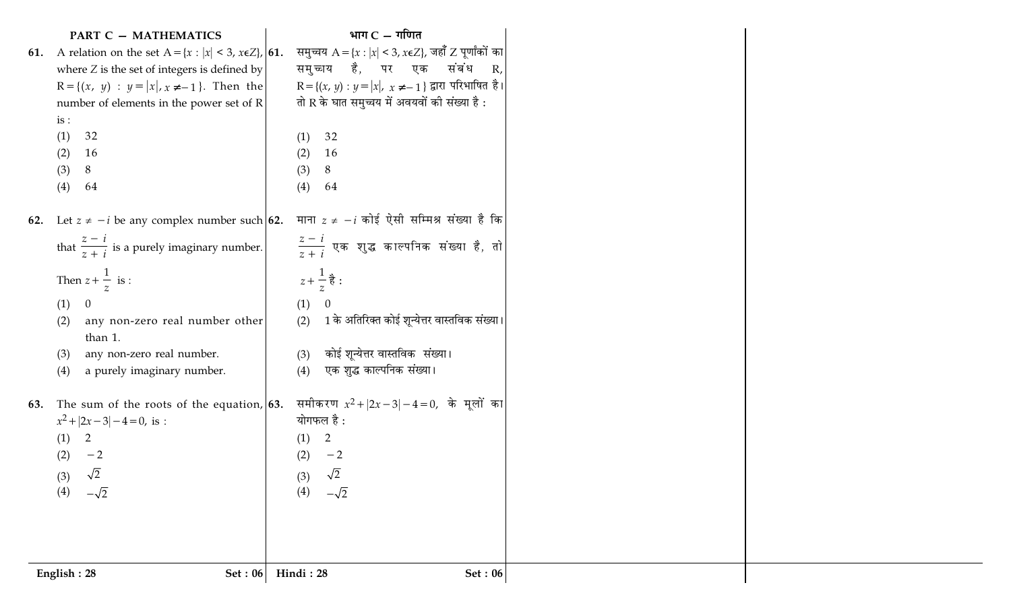|     | <b>PART C - MATHEMATICS</b>                                         | भाग $C - \eta$ णित                            |                                                                  |
|-----|---------------------------------------------------------------------|-----------------------------------------------|------------------------------------------------------------------|
| 61. | A relation on the set $A = \{x :  x  < 3, x \in \mathbb{Z}\},  61.$ |                                               | समुच्चय A = {x :  x  < 3, x $\epsilon Z$ }, जहाँ Z पूर्णांकों का |
|     | where $Z$ is the set of integers is defined by                      |                                               | समुच्चय है, पर एक संबंध R <i>,</i>                               |
|     | $R = \{(x, y) : y =  x , x \neq -1\}$ . Then the                    |                                               | $R = \{(x, y) : y =  x , x \neq -1\}$ द्वारा परिभाषित है।        |
|     | number of elements in the power set of R                            | तो R के घात समुच्चय में अवयवों की संख्या है : |                                                                  |
|     | is:                                                                 |                                               |                                                                  |
|     | 32<br>(1)                                                           | 32<br>(1)                                     |                                                                  |
|     | 16<br>(2)                                                           | (2)<br><b>16</b>                              |                                                                  |
|     | (3)<br>8                                                            | (3)<br>8                                      |                                                                  |
|     | (4)<br>64                                                           | (4)<br>64                                     |                                                                  |
|     |                                                                     |                                               |                                                                  |
| 62. | Let $z \neq -i$ be any complex number such 62.                      |                                               | माना $z\neq -i$ कोई ऐसी सम्मिश्र संख्या है कि                    |
|     | that $\frac{z-i}{z+i}$ is a purely imaginary number.                |                                               | $\left \frac{z-i}{z+i}\right $ एक शुद्ध काल्पनिक संख्या है, तो   |
|     |                                                                     |                                               |                                                                  |
|     | Then $z + \frac{1}{z}$ is :                                         | $z + \frac{1}{z}$ है :                        |                                                                  |
|     |                                                                     |                                               |                                                                  |
|     | (1)<br>$\overline{0}$                                               | (1)<br>- 0                                    |                                                                  |
|     | any non-zero real number other<br>(2)                               | (2)                                           | 1 के अतिरिक्त कोई शून्येत्तर वास्तविक संख्या।                    |
|     | than 1.                                                             |                                               |                                                                  |
|     | any non-zero real number.<br>(3)                                    | कोई शून्येत्तर वास्तविक  संख्या।<br>(3)       |                                                                  |
|     | a purely imaginary number.<br>(4)                                   | एक शुद्ध काल्पनिक संख्या।<br>(4)              |                                                                  |
|     |                                                                     |                                               |                                                                  |
| 63. | The sum of the roots of the equation, $63$ .                        |                                               | समीकरण $x^2 +  2x - 3  - 4 = 0$ , के मूलों का                    |
|     | $x^2 +  2x - 3  - 4 = 0$ , is :                                     | योगफल है :                                    |                                                                  |
|     | 2<br>(1)                                                            | 2<br>(1)                                      |                                                                  |
|     | (2)<br>$-2$                                                         | (2)<br>$-2$                                   |                                                                  |
|     | $\sqrt{2}$<br>(3)                                                   | $\sqrt{2}$<br>(3)                             |                                                                  |
|     | (4)<br>$-\sqrt{2}$                                                  | $-\sqrt{2}$<br>(4)                            |                                                                  |
|     |                                                                     |                                               |                                                                  |
|     |                                                                     |                                               |                                                                  |
|     |                                                                     |                                               |                                                                  |
|     |                                                                     |                                               |                                                                  |
|     | English: 28<br><b>Set: 06</b>                                       | Hindi: 28                                     | <b>Set: 06</b>                                                   |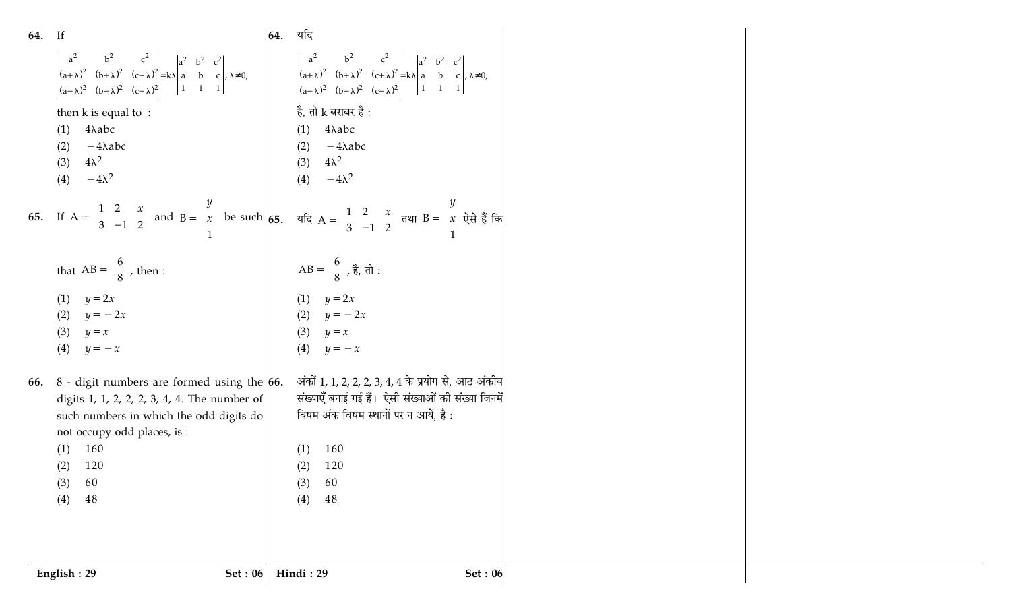| 64. If |                                                                                                                                                                                                                                                     | 64. यदि |                                                                                                                                                                                                                                                                                                    |  |
|--------|-----------------------------------------------------------------------------------------------------------------------------------------------------------------------------------------------------------------------------------------------------|---------|----------------------------------------------------------------------------------------------------------------------------------------------------------------------------------------------------------------------------------------------------------------------------------------------------|--|
|        | $\begin{vmatrix} a^2 & b^2 & c^2 \ (a+\lambda)^2 & (b+\lambda)^2 & (c+\lambda)^2 \ (a-\lambda)^2 & (b-\lambda)^2 & (c-\lambda)^2 \end{vmatrix} = k\lambda \begin{vmatrix} a^2 & b^2 & c^2 \ a & b & c \ 1 & 1 & 1 \end{vmatrix} + k\lambda \neq 0,$ |         |                                                                                                                                                                                                                                                                                                    |  |
|        | then $k$ is equal to :                                                                                                                                                                                                                              |         | है, तो ${\rm k}$ बराबर है :                                                                                                                                                                                                                                                                        |  |
|        | 4λabc<br>(1)                                                                                                                                                                                                                                        |         | 4λabc<br>(1)                                                                                                                                                                                                                                                                                       |  |
|        | $-4\lambda abc$<br>(2)<br>$4\lambda^2$                                                                                                                                                                                                              |         | (2) $-4\lambda abc$<br>$4\lambda^2$                                                                                                                                                                                                                                                                |  |
|        | (3)<br>$-4\lambda^2$<br>(4)                                                                                                                                                                                                                         |         | (3)<br>(4) $-4\lambda^2$                                                                                                                                                                                                                                                                           |  |
|        |                                                                                                                                                                                                                                                     |         | 65. If $A = \begin{bmatrix} 1 & 2 & x \\ 3 & -1 & 2 \end{bmatrix}$ and $B = \begin{bmatrix} y \\ x \\ 1 \end{bmatrix}$ be such 65. $\vec{a}$ and $A = \begin{bmatrix} 1 & 2 & x \\ 3 & -1 & 2 \end{bmatrix}$ $\vec{a}$ and $B = \begin{bmatrix} y \\ x \\ 1 \end{bmatrix}$ $\vec{b}$ and $\vec{c}$ |  |
|        | that $AB = \begin{bmatrix} 6 \\ 8 \end{bmatrix}$ , then :                                                                                                                                                                                           |         | AB = $\begin{bmatrix} 6 \\ 8 \end{bmatrix}$ , है, तो :                                                                                                                                                                                                                                             |  |
|        | (1) $y = 2x$                                                                                                                                                                                                                                        |         | (1) $y = 2x$                                                                                                                                                                                                                                                                                       |  |
|        | (2)<br>$y = -2x$                                                                                                                                                                                                                                    |         | (2) $y = -2x$                                                                                                                                                                                                                                                                                      |  |
|        | (3)<br>$y = x$                                                                                                                                                                                                                                      |         | (3)<br>$y = x$                                                                                                                                                                                                                                                                                     |  |
|        | (4)<br>$y=-x$                                                                                                                                                                                                                                       |         | (4)<br>$y=-x$                                                                                                                                                                                                                                                                                      |  |
| 66.    | $8$ - digit numbers are formed using the $66$ .                                                                                                                                                                                                     |         | अंकों 1, 1, 2, 2, 2, 3, 4, 4 के प्रयोग से, आठ अंकीय                                                                                                                                                                                                                                                |  |
|        | digits 1, 1, 2, 2, 2, 3, 4, 4. The number of                                                                                                                                                                                                        |         | संख्याएँ बनाई गई हैं।  ऐसी संख्याओं की संख्या जिनमें                                                                                                                                                                                                                                               |  |
|        | such numbers in which the odd digits do                                                                                                                                                                                                             |         | विषम अंक विषम स्थानों पर न आयें, है:                                                                                                                                                                                                                                                               |  |
|        | not occupy odd places, is :                                                                                                                                                                                                                         |         |                                                                                                                                                                                                                                                                                                    |  |
|        | 160<br>(1)                                                                                                                                                                                                                                          |         | 160<br>(1)                                                                                                                                                                                                                                                                                         |  |
|        | 120<br>(2)<br>60<br>(3)                                                                                                                                                                                                                             |         | (2)<br>120<br>(3)<br>60                                                                                                                                                                                                                                                                            |  |
|        | $48\,$<br>(4)                                                                                                                                                                                                                                       |         | 48<br>(4)                                                                                                                                                                                                                                                                                          |  |
|        |                                                                                                                                                                                                                                                     |         |                                                                                                                                                                                                                                                                                                    |  |
|        |                                                                                                                                                                                                                                                     |         |                                                                                                                                                                                                                                                                                                    |  |
|        | English: 29<br><b>Set: 06</b>                                                                                                                                                                                                                       |         | Hindi: 29<br><b>Set: 06</b>                                                                                                                                                                                                                                                                        |  |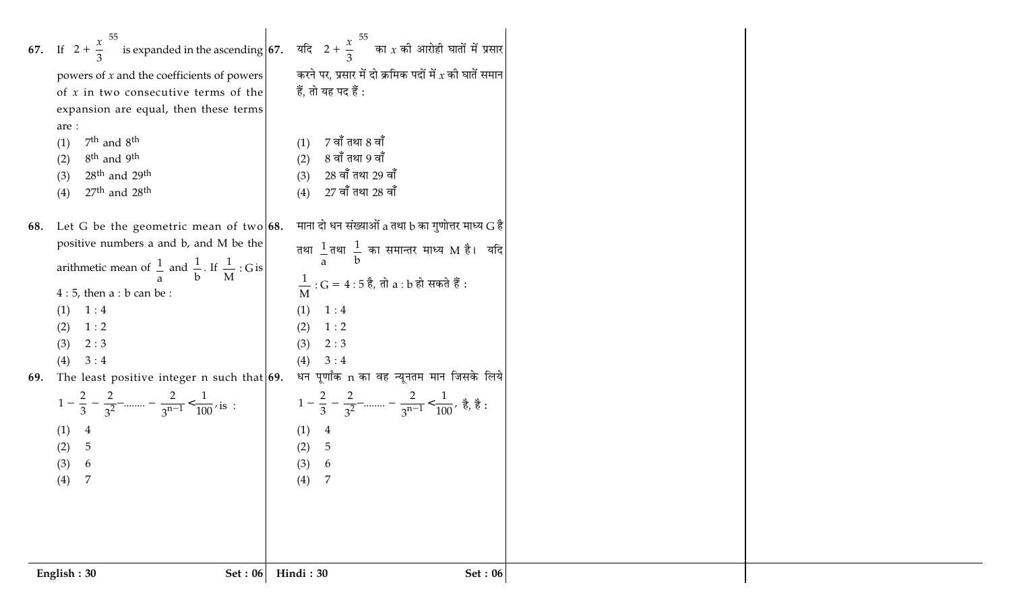|     | powers of $x$ and the coefficients of powers<br>of $x$ in two consecutive terms of the<br>expansion are equal, then these terms<br>are :<br>$7th$ and $8th$<br>(1)<br>8 <sup>th</sup> and 9 <sup>th</sup><br>(2)<br>$28th$ and $29th$<br>(3) | 67. If $\left(2+\frac{x}{3}\right)^{55}$ is expanded in the ascending 67. यदि $\left(2+\frac{x}{3}\right)^{55}$ का x की आरोही घातों में प्रसार<br>करने पर, प्रसार में दो क्रमिक पदों में $x$ की घातें समान $\vert$<br>हैं, तो यह पद हैं :<br>$7$ वाँ तथा $8$ वाँ<br>(1)<br>8 वाँ तथा 9 वाँ<br>(2)<br>28 वाँ तथा 29 वाँ<br>(3) |  |
|-----|----------------------------------------------------------------------------------------------------------------------------------------------------------------------------------------------------------------------------------------------|-------------------------------------------------------------------------------------------------------------------------------------------------------------------------------------------------------------------------------------------------------------------------------------------------------------------------------|--|
| 68. | $27th$ and $28th$<br>(4)<br>Let G be the geometric mean of two $68$ .<br>positive numbers a and b, and M be the                                                                                                                              | $27$ वाँ तथा $28$ वाँ<br>(4)<br>माना दो धन संख्याओं a तथा b का गुणोत्तर माध्य $G$ है<br>तथा $\frac{1}{a}$ तथा $\frac{1}{b}$ का समान्तर माध्य M है। यदि                                                                                                                                                                        |  |
|     | arithmetic mean of $\frac{1}{a}$ and $\frac{1}{b}$ . If $\frac{1}{M}$ : G is<br>$4:5$ , then a : b can be :<br>1:4<br>1:2<br>2:3                                                                                                             | $\frac{1}{M}$ : G = 4 : 5 है, तो a : b हो सकते हैं :<br>1:4<br>(1)<br>1:2<br>(2)<br>(3)<br>2:3                                                                                                                                                                                                                                |  |
| 69. | 3:4<br>(4)<br>The least positive integer n such that $69.$<br>(1) 4                                                                                                                                                                          | (4)<br>3:4<br>धन पूर्णांक n का वह न्यूनतम मान जिसके लिये<br>1 - $\frac{2}{3}$ - $\frac{2}{3^2}$ -  - $\frac{2}{3^{n-1}}$ < $\frac{1}{100}$ , is : $1 - \frac{2}{3} - \frac{2}{3^2}$ -  - $\frac{2}{3^{n-1}}$ < $\frac{1}{100}$ , $\frac{3}{6}$ , $\frac{3}{6}$ :<br>(1)                                                       |  |
|     | 5<br>(2)<br>(3)<br>6<br>(4)<br>7                                                                                                                                                                                                             | (2)<br>5<br>(3)<br>6<br>(4)<br>7                                                                                                                                                                                                                                                                                              |  |
|     | English: 30<br>Set: 06                                                                                                                                                                                                                       | Hindi: 30<br>Set: 06                                                                                                                                                                                                                                                                                                          |  |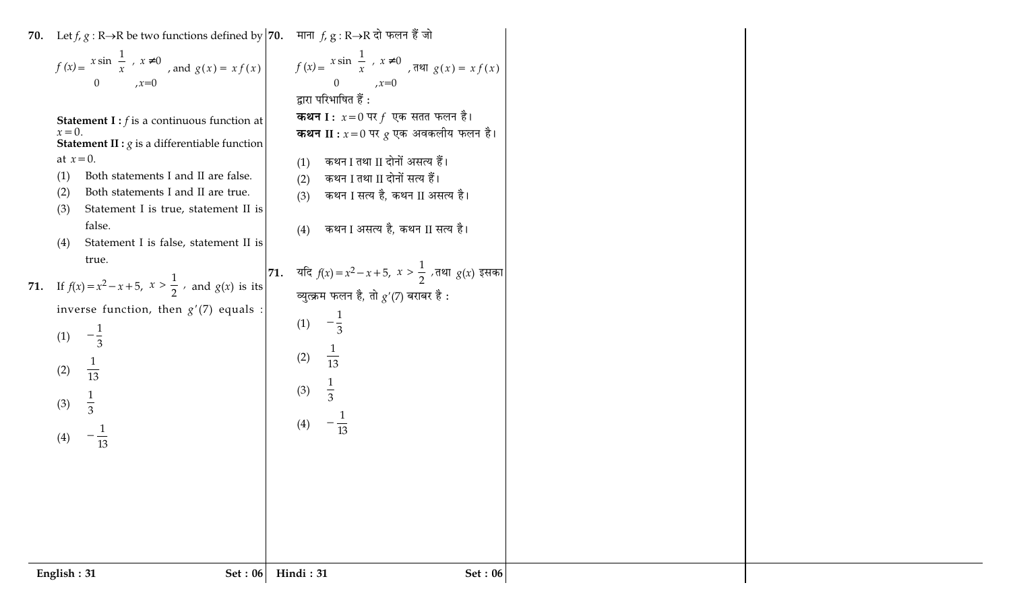| 70. Let <i>f</i> , <i>g</i> : R→R be two functions defined by 70. माना <i>f</i> , <i>g</i> : R→R दो फलन हैं जो<br>$f(x) = \begin{cases} x \sin(\frac{1}{x}), & x \neq 0 \\ 0, & x = 0 \end{cases}$ , and $g(x) = xf(x)$<br>$f(x) = \begin{cases} x \sin(\frac{1}{x}), & x \neq 0 \\ 0, & x = 0 \end{cases}$ , $f(x) = \begin{cases} x \sin(\frac{1}{x}), & x \neq 0 \\ 0, & x = 0 \end{cases}$<br><b>Statement I</b> : $f$ is a continuous function at<br>$x=0$ . | द्वारा परिभाषित हैं:<br><b>कथन I</b> : $x=0$ पर $f$ एक सतत फलन है।<br><b>कथन II :</b> $x=0$ पर $g$ एक अवकलीय फलन है।                                            |  |
|-------------------------------------------------------------------------------------------------------------------------------------------------------------------------------------------------------------------------------------------------------------------------------------------------------------------------------------------------------------------------------------------------------------------------------------------------------------------|-----------------------------------------------------------------------------------------------------------------------------------------------------------------|--|
| <b>Statement II :</b> $g$ is a differentiable function<br>at $x=0$ .<br>Both statements I and II are false.<br>(1)<br>Both statements I and II are true.<br>(2)<br>Statement I is true, statement II is<br>(3)<br>false.<br>Statement I is false, statement II is<br>(4)                                                                                                                                                                                          | कथन I तथा II दोनों असत्य हैं।<br>(1)<br>कथन I तथा II दोनों सत्य हैं।<br>(2)<br>कथन I सत्य है, कथन II असत्य है।<br>(3)<br>कथन I असत्य है, कथन II सत्य है।<br>(4) |  |
| 71. If $f(x) = x^2 - x + 5$ , $x > \frac{1}{2}$ , and $g(x)$ is its $\begin{vmatrix} 71. & 4\sqrt{\pi} & f(x) = x^2 - x + 5, & x > \frac{1}{2} \end{vmatrix}$ , $\pi$ , $x > \frac{1}{2}$ , $\pi$ and $g(x)$ and $g(x)$ is its $\begin{vmatrix} 71. & 4\sqrt{\pi} & f(x) = x^2 - x + 5, & x > \frac{1}{2} \end{vmatrix}$<br>inverse function, then $g'(7)$ equals :<br>(1)<br>$-\frac{1}{3}$<br>(2)<br>$\overline{13}$<br>$\frac{1}{3}$<br>(3)<br>(4)<br>13       | $-\frac{1}{3}$<br>(1)<br>$\frac{1}{13}$<br>(2)<br>(3)<br>(4)<br>$\overline{13}$                                                                                 |  |
| English: 31<br><b>Set: 06</b>                                                                                                                                                                                                                                                                                                                                                                                                                                     | Set: 06<br>Hindi: 31                                                                                                                                            |  |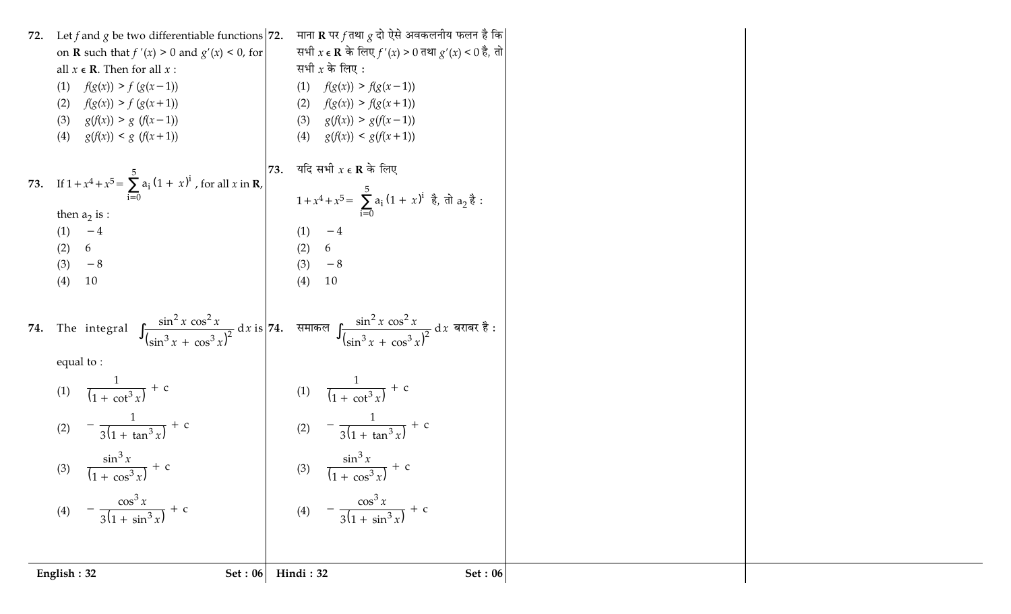| 72. Let f and g be two differentiable functions $ 72$ .<br>on <b>R</b> such that $f'(x) > 0$ and $g'(x) < 0$ , for<br>all $x \in \mathbb{R}$ . Then for all $x$ :<br>$f(g(x)) > f(g(x-1))$<br>(1)<br>$f(g(x)) > f(g(x+1))$<br>(2)<br>$g(f(x)) > g(f(x-1))$<br>(3)<br>$g(f(x)) < g(f(x+1))$<br>(4)<br>73. If $1 + x^4 + x^5 = \sum_{i=0}^{5} a_i (1 + x)^i$ , for all x in <b>R</b> ,<br>then $a_2$ is :<br>$-4$<br>(1)<br>(2)<br>6<br>$-8$<br>(3)<br>(4)<br>10 | माना <b>R</b> पर $f$ तथा $g$ दो ऐसे अवकलनीय फलन है कि <br>सभी $x \in \mathbb{R}$ के लिए $f'(x) > 0$ तथा $g'(x) < 0$ है, तो<br>सभी $x$ के लिए :<br>$f(g(x)) > f(g(x-1))$<br>(1)<br>$f(g(x)) > f(g(x+1))$<br>(2)<br>$g(f(x)) > g(f(x-1))$<br>(3)<br>(4)<br>$g(f(x)) < g(f(x+1))$<br>यदि सभी $x \in \mathbf{R}$ के लिए<br>73.<br>$1 + x^4 + x^5 = \sum_{i=0}^{5} a_i (1 + x)^i$ है, तो $a_2$ है:<br>(1)<br>$-4$<br>(2)<br>6<br>(3)<br>$-8$<br>(4)<br>10 |  |
|----------------------------------------------------------------------------------------------------------------------------------------------------------------------------------------------------------------------------------------------------------------------------------------------------------------------------------------------------------------------------------------------------------------------------------------------------------------|------------------------------------------------------------------------------------------------------------------------------------------------------------------------------------------------------------------------------------------------------------------------------------------------------------------------------------------------------------------------------------------------------------------------------------------------------|--|
| equal to:                                                                                                                                                                                                                                                                                                                                                                                                                                                      | 74. The integral $\int \frac{\sin^2 x \cos^2 x}{(\sin^3 x + \cos^3 x)^2} dx$ is 74. समाकल $\int \frac{\sin^2 x \cos^2 x}{(\sin^3 x + \cos^3 x)^2} dx$ बराबर है:                                                                                                                                                                                                                                                                                      |  |
| (1) $\frac{1}{(1 + \cot^3 x)} + c$<br>$-\frac{1}{3(1+\tan^3 x)}+c$<br>(2)                                                                                                                                                                                                                                                                                                                                                                                      | (1) $\frac{1}{(1 + \cot^3 x)} + c$<br>(2) $-\frac{1}{3(1 + \tan^3 x)} + c$                                                                                                                                                                                                                                                                                                                                                                           |  |
| (3) $\frac{\sin^3 x}{(1 + \cos^3 x)} + c$                                                                                                                                                                                                                                                                                                                                                                                                                      | (3) $\frac{\sin^3 x}{(1 + \cos^3 x)} + c$                                                                                                                                                                                                                                                                                                                                                                                                            |  |
| $-\frac{\cos^3 x}{3(1+\sin^3 x)} + c$                                                                                                                                                                                                                                                                                                                                                                                                                          | $-\frac{\cos^3 x}{3(1+\sin^3 x)} + c$<br>(4)                                                                                                                                                                                                                                                                                                                                                                                                         |  |
| English: 32<br>Set: 06                                                                                                                                                                                                                                                                                                                                                                                                                                         | Hindi: 32<br><b>Set: 06</b>                                                                                                                                                                                                                                                                                                                                                                                                                          |  |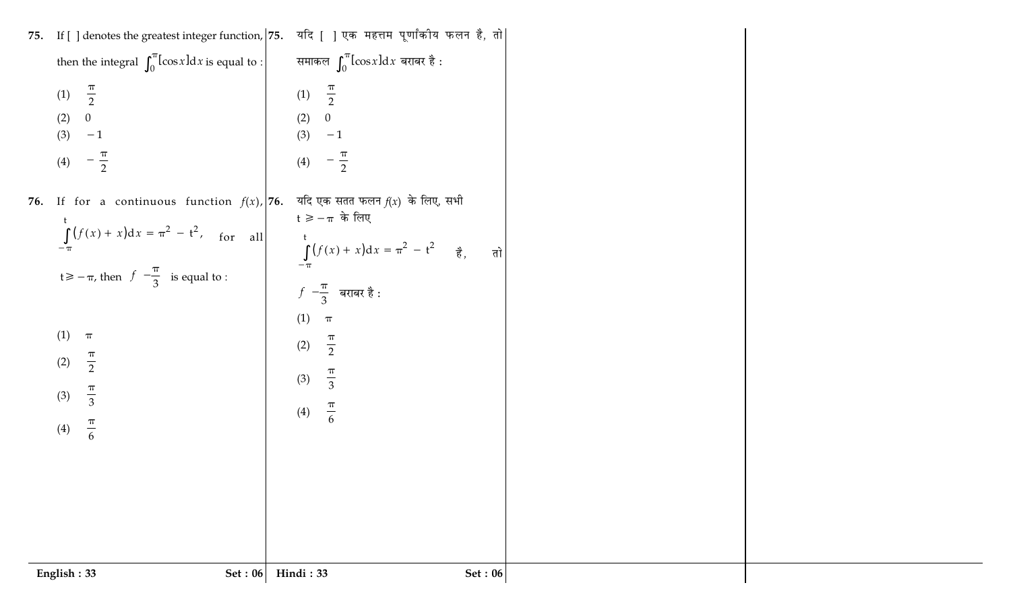|     | English: 33<br><b>Set: 06</b>                                    | Hindi: 33<br>Set: 06                                               |  |
|-----|------------------------------------------------------------------|--------------------------------------------------------------------|--|
|     |                                                                  |                                                                    |  |
|     |                                                                  |                                                                    |  |
|     | $\frac{\pi}{6}$<br>(4)                                           | $\frac{\pi}{6}$<br>(4)                                             |  |
|     | $\frac{\pi}{2}$<br>(2)<br>$\frac{\pi}{3}$<br>(3)                 | $\frac{\pi}{3}$<br>(3)                                             |  |
|     | (1)<br>$\pi$                                                     | (1)<br>$\pi$<br>$\frac{\pi}{2}$<br>(2)                             |  |
|     | $t \ge -\pi$ , then $f\left(-\frac{\pi}{3}\right)$ is equal to : | $f\!\left(-\!\frac{\pi}{3}\right)$ बराबर है :                      |  |
|     | $\int_{-\pi}^{t} (f(x) + x) dx = \pi^2 - t^2$ , for all          | $\int_{-\pi}^{t} (f(x) + x) dx = \pi^2 - t^2$ $\frac{3}{6},$<br>तो |  |
|     | <b>76.</b> If for a continuous function $f(x)$ , <b>76.</b>      | यदि एक सतत फलन $f(x)$ के लिए, सभी<br>$t \geqslant -\pi$ के लिए     |  |
|     | $\frac{\pi}{2}$<br>(4)                                           | $-\frac{\pi}{2}$<br>(4)                                            |  |
|     | (2)<br>(3)<br>$-1$                                               | (2)<br>0<br>(3)<br>$-1$                                            |  |
|     | $\frac{\pi}{2}$<br>(1)                                           | $\frac{1}{2}$<br>(1)                                               |  |
|     | then the integral $\int_0^{\pi} [\cos x] dx$ is equal to :       | समाकल $\int_0^\pi [\cos x] \mathrm{d} x$ बराबर है :                |  |
| 75. | If $\lceil$ ] denotes the greatest integer function, 75.         | यदि [ ] एक महत्तम पूर्णांकीय फलन है, तो                            |  |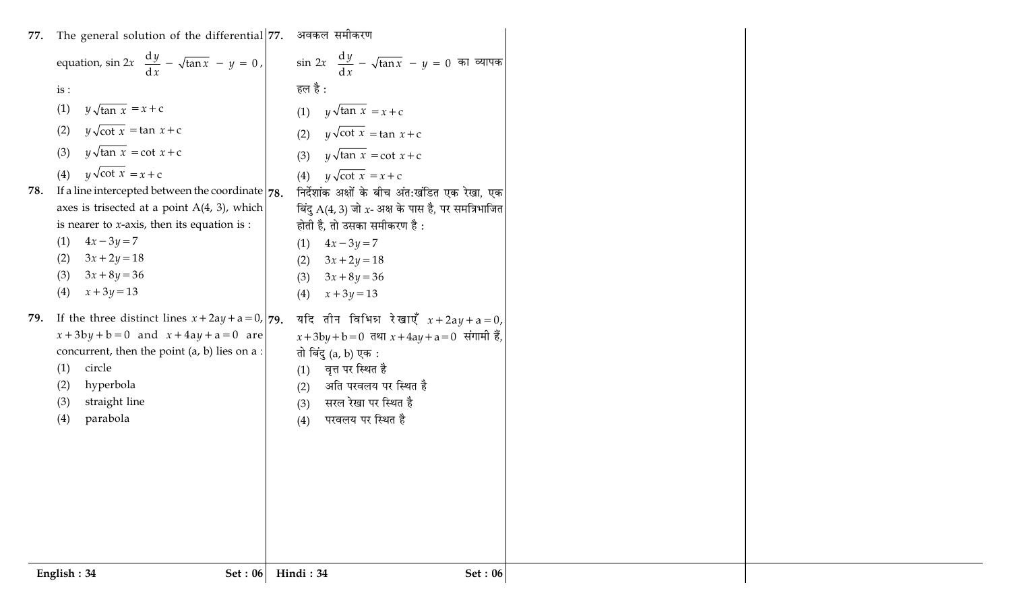| 77. | The general solution of the differential 77. अवकल समीकरण                   |                                                                          |  |
|-----|----------------------------------------------------------------------------|--------------------------------------------------------------------------|--|
|     | equation, $\sin 2x \left( \frac{dy}{dx} - \sqrt{\tan x} \right) - y = 0$ , | $\sin 2x \left( \frac{dy}{dx} - \sqrt{\tan x} \right) - y = 0$ का व्यापक |  |
|     | is:                                                                        | हल है :                                                                  |  |
|     | $y\sqrt{\tan x} = x + c$<br>(1)                                            | $y\sqrt{\tan x} = x + c$<br>(1)                                          |  |
|     | $y\sqrt{\cot x} = \tan x + c$<br>(2)                                       | $y\sqrt{\cot x} = \tan x + c$<br>(2)                                     |  |
|     | $y\sqrt{\tan x} = \cot x + c$<br>(3)                                       | $y\sqrt{\tan x} = \cot x + c$<br>(3)                                     |  |
|     | $y\sqrt{\cot x} = x + c$<br>(4)                                            | $y\sqrt{\cot x} = x + c$<br>(4)                                          |  |
| 78. | If a line intercepted between the coordinate $ 78$ .                       | निर्देशांक अक्षों के बीच अंत:खंडित एक रेखा, एक                           |  |
|     | axes is trisected at a point $A(4, 3)$ , which                             | बिंदु $A(4, 3)$ जो x- अक्ष के पास है, पर समत्रिभाजित                     |  |
|     | is nearer to $x$ -axis, then its equation is :<br>$4x - 3y = 7$            | होती है, तो उसका समीकरण है :                                             |  |
|     | (1)<br>$3x + 2y = 18$<br>(2)                                               | $4x - 3y = 7$<br>(1)<br>$3x + 2y = 18$<br>(2)                            |  |
|     | $3x + 8y = 36$<br>(3)                                                      | $3x + 8y = 36$<br>(3)                                                    |  |
|     | $x + 3y = 13$<br>(4)                                                       | $x + 3y = 13$<br>(4)                                                     |  |
| 79. | If the three distinct lines $x + 2ay + a = 0$ , 79.                        | यदि तीन विभिन्न रेखाएँ $x+2ay+a=0$ ,                                     |  |
|     | $x + 3by + b = 0$ and $x + 4ay + a = 0$ are                                | $x + 3by + b = 0$ तथा $x + 4ay + a = 0$ संगामी हैं,                      |  |
|     | concurrent, then the point $(a, b)$ lies on $a$ :<br>circle<br>(1)         | तो बिंदु (a, b) एक :<br>वृत्त पर स्थित है                                |  |
|     | hyperbola<br>(2)                                                           | (1)<br>अति परवलय पर स्थित है<br>(2)                                      |  |
|     | straight line<br>(3)                                                       | सरल रेखा पर स्थित है<br>(3)                                              |  |
|     | parabola<br>(4)                                                            | परवलय पर स्थित है<br>(4)                                                 |  |
|     |                                                                            |                                                                          |  |
|     |                                                                            |                                                                          |  |
|     |                                                                            |                                                                          |  |
|     |                                                                            |                                                                          |  |
|     |                                                                            |                                                                          |  |
|     |                                                                            |                                                                          |  |
|     |                                                                            |                                                                          |  |
|     | English: 34<br>Set: 06                                                     | Hindi: 34<br><b>Set: 06</b>                                              |  |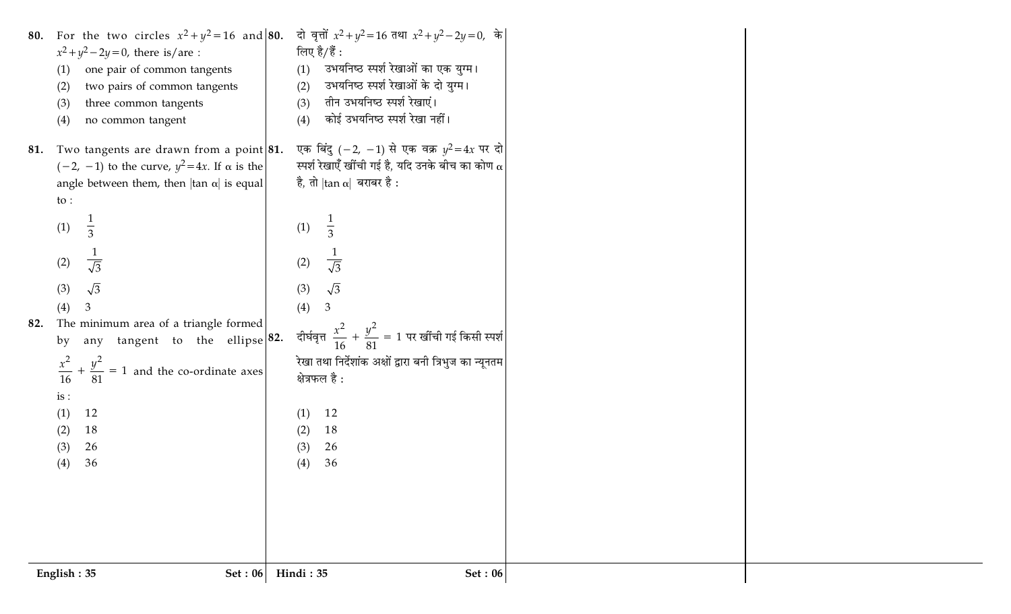|     | English: 35<br>Set: 06                                         | Hindi: 35<br><b>Set: 06</b>                                                |  |
|-----|----------------------------------------------------------------|----------------------------------------------------------------------------|--|
|     |                                                                |                                                                            |  |
|     |                                                                |                                                                            |  |
|     |                                                                |                                                                            |  |
|     | 36<br>(4)                                                      | 36<br>(4)                                                                  |  |
|     | 26<br>(3)                                                      | 26<br>(3)                                                                  |  |
|     | 18<br>(2)                                                      | 18<br>(2)                                                                  |  |
|     | 12<br>(1)                                                      | 12<br>(1)                                                                  |  |
|     | is:                                                            |                                                                            |  |
|     | $\frac{x^2}{16} + \frac{y^2}{81} = 1$ and the co-ordinate axes | रेखा तथा निर्देशांक अक्षों द्वारा बनी त्रिभुज का न्यूनतम<br>क्षेत्रफल है : |  |
|     | any tangent to the ellipse $ 82$ .<br>by                       |                                                                            |  |
| 82. | The minimum area of a triangle formed                          | दीर्घवृत्त $\frac{x^2}{16} + \frac{y^2}{81} = 1$ पर खींची गई किसी स्पर्श   |  |
|     | (4)                                                            | (4)<br>3                                                                   |  |
|     | $\sqrt{3}$<br>(3)                                              | $\sqrt{3}$<br>(3)                                                          |  |
|     | (2)<br>$\overline{\sqrt{3}}$                                   | $\frac{1}{\sqrt{3}}$<br>(2)                                                |  |
|     |                                                                |                                                                            |  |
|     | (1)<br>$\overline{3}$                                          | $rac{1}{3}$<br>(1)                                                         |  |
|     | $\mathsf{to}$ :                                                |                                                                            |  |
|     | angle between them, then $ \tan \alpha $ is equal              | है, तो $ $ tan $\alpha $ बराबर है :                                        |  |
|     | $(-2, -1)$ to the curve, $y^2 = 4x$ . If $\alpha$ is the       | स्पर्श रेखाएँ खींची गई है, यदि उनके बीच का कोण $\alpha$                    |  |
| 81. | Two tangents are drawn from a point $ 81$ .                    | एक बिंदु $(-2, -1)$ से एक वक्र $y^2 = 4x$ पर दो                            |  |
|     | no common tangent<br>(4)                                       | कोई उभयनिष्ठ स्पर्श रेखा नहीं।<br>(4)                                      |  |
|     | three common tangents<br>(3)                                   | तीन उभयनिष्ठ स्पर्श रेखाएं।<br>(3)                                         |  |
|     | two pairs of common tangents<br>(2)                            | उभयनिष्ठ स्पर्श रेखाओं के दो युग्म।<br>(2)                                 |  |
|     | one pair of common tangents<br>(1)                             | उभयनिष्ठ स्पर्श रेखाओं का एक युग्म।<br>(1)                                 |  |
|     | $x^2 + y^2 - 2y = 0$ , there is/are :                          | लिए है/हैं :                                                               |  |
|     | 80. For the two circles $x^2 + y^2 = 16$ and 80.               | दो वृत्तों $x^2 + y^2 = 16$ तथा $x^2 + y^2 - 2y = 0$ , के                  |  |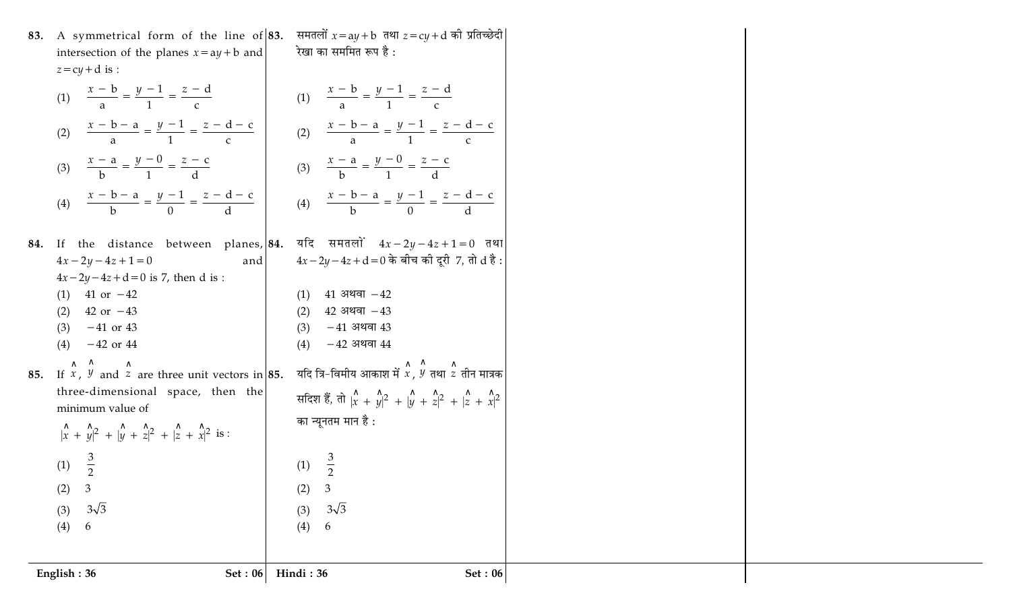|                                             | 83. A symmetrical form of the line of 83. समतलों $x = ay + b$ तथा $z = cy + d$ की प्रतिच्छेदी |  |
|---------------------------------------------|-----------------------------------------------------------------------------------------------|--|
| intersection of the planes $x = ay + b$ and | रेखा का सममित रूप है :                                                                        |  |
| $z = cy + d$ is :                           |                                                                                               |  |

 $(4) 6$ 

English: 36

|     | (1) $\frac{x-b}{2} = \frac{y-1}{1} = \frac{z-d}{c}$                                                                                                                                  | (1) $\frac{x-b}{2} = \frac{y-1}{1} = \frac{z-d}{c}$                                                                                                                                                                                               |
|-----|--------------------------------------------------------------------------------------------------------------------------------------------------------------------------------------|---------------------------------------------------------------------------------------------------------------------------------------------------------------------------------------------------------------------------------------------------|
|     | (2) $\frac{x - b - a}{2} = \frac{y - 1}{1} = \frac{z - d - c}{c}$                                                                                                                    | (2) $\frac{x - b - a}{2} = \frac{y - 1}{1} = \frac{z - d - c}{c}$                                                                                                                                                                                 |
|     | (3) $\frac{x-a}{b} = \frac{y-0}{1} = \frac{z-c}{d}$                                                                                                                                  | (3) $\frac{x-a}{b} = \frac{y-0}{1} = \frac{z-c}{d}$                                                                                                                                                                                               |
|     | (4) $\frac{x - b - a}{b} = \frac{y - 1}{0} = \frac{z - d - c}{d}$                                                                                                                    | (4) $\frac{x - b - a}{b} = \frac{y - 1}{0} = \frac{z - d - c}{d}$                                                                                                                                                                                 |
| 84. | between planes, 84.<br>the distance<br>If<br>$4x - 2y - 4z + 1 = 0$<br>and                                                                                                           | यदि समतलों $4x - 2y - 4z + 1 = 0$ तथ<br>$4x - 2y - 4z + d = 0$ के बीच की दूरी 7, तो $d \xi$                                                                                                                                                       |
|     | $4x - 2y - 4z + d = 0$ is 7, then d is :<br>$(1)$ 41 or $-42$<br>(2) 42 or $-43$<br>$(3)$ -41 or 43<br>$(4)$ -42 or 44                                                               | $41$ अथवा $-42$<br>(1)<br>$(2)$ 42 अथवा -43<br>$(3)$ -41 अथवा 43<br>$-42$ अथवा $44$<br>(4)                                                                                                                                                        |
| 85. | If $x$ , $y$ and $z$ are three unit vectors in 85.<br>three-dimensional space, then the<br>minimum value of<br>$\hat{x} + \hat{y}^2 + \hat{y} + \hat{z}^2 + \hat{z} + \hat{z}^2$ is: | यदि त्रि-विमीय आकाश में $\stackrel{\wedge}{x}$ , $\stackrel{\wedge}{y}$ तथा $\stackrel{\wedge}{z}$ तीन मात्र<br>सदिश हैं, तो $\hat{x}$ + $\hat{y}$ + $\hat{y}$ + $\hat{y}$ + $\hat{z}$ + $\hat{z}$ + $\hat{z}$ + $\hat{x}$<br>का न्यूनतम मान है : |
|     | (1) $\frac{3}{2}$<br>$\mathfrak{Z}$<br>(2)                                                                                                                                           | (1) $\frac{3}{2}$<br>$\mathfrak{Z}$<br>(2)                                                                                                                                                                                                        |
|     | $3\sqrt{3}$<br>(3)                                                                                                                                                                   | $3\sqrt{3}$<br>(3)                                                                                                                                                                                                                                |

| $=\frac{z-d}{c}$                                                             | (1) $\frac{x-b}{2} = \frac{y-1}{1} = \frac{z-d}{c}$                                                                                                                                                                    |
|------------------------------------------------------------------------------|------------------------------------------------------------------------------------------------------------------------------------------------------------------------------------------------------------------------|
| $\frac{-1}{1} = \frac{z - d - c}{c}$                                         | (2) $\frac{x - b - a}{a} = \frac{y - 1}{1} = \frac{z - d - c}{c}$                                                                                                                                                      |
| $=\frac{z-c}{d}$                                                             | (3) $\frac{x-a}{b} = \frac{y-0}{1} = \frac{z-c}{d}$                                                                                                                                                                    |
| $\frac{-1}{0} = \frac{z - d - c}{d}$                                         | (4) $\frac{x - b - a}{b} = \frac{y - 1}{0} = \frac{z - d - c}{d}$                                                                                                                                                      |
| and<br>, then $d$ is :                                                       | between planes, $\begin{vmatrix} 84. & 4 \bar{x} \end{vmatrix}$ समतलों $4x - 2y - 4z + 1 = 0$ तथा<br>$4x - 2y - 4z + d = 0$ के बीच की दूरी 7, तो $d\ddot{\mathcal{z}}$ :                                               |
|                                                                              | $(1)$ 41 अथवा $-42$<br>$(2)$ 42 अथवा $-43$<br>$(3)$ -41 अथवा 43<br>$(4)$ -42 अथवा 44                                                                                                                                   |
| ree unit vectors in $ 85$ .<br>space, then the<br>$\frac{1}{ z + x ^2}$ is : | यदि त्रि–विमीय आकाश में $\stackrel{\wedge}{x}$ , $\stackrel{\wedge}{y}$ तथा $\stackrel{\wedge}{z}$ तीन मात्रक<br>सदिश हैं, तो $\hat{x} + \hat{y}^2 + \hat{y} + \hat{z}^2 + \hat{z} + \hat{x}^2$<br>का न्यूनतम मान है : |
|                                                                              | (1) $\frac{3}{2}$<br>(2) 3<br>$3\sqrt{3}$<br>(3)<br>(4)<br>6                                                                                                                                                           |
|                                                                              | Set : 06 Hindi : 36<br><b>Set: 06</b>                                                                                                                                                                                  |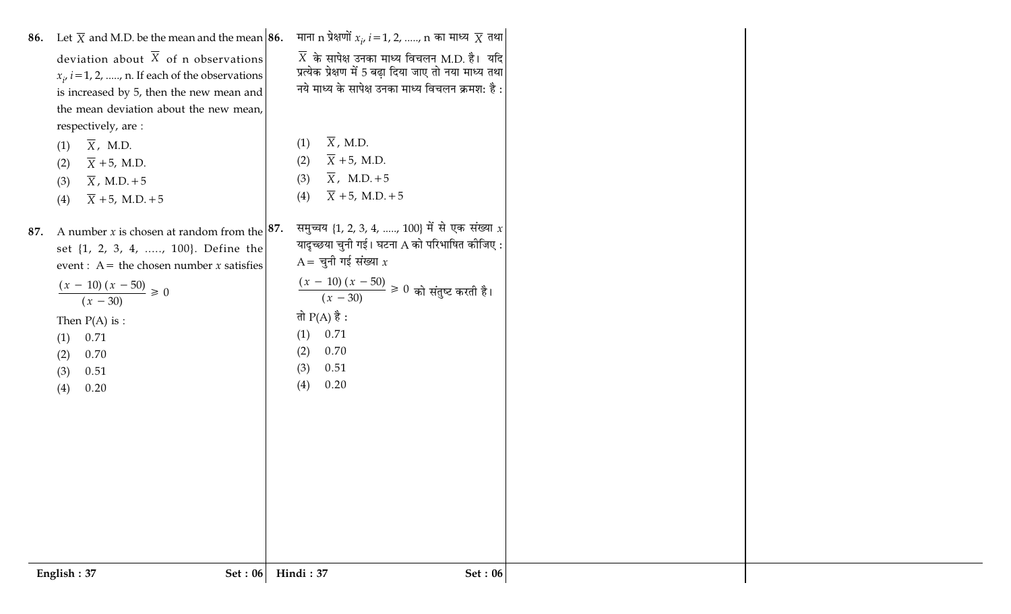| 86. Let $\overline{X}$ and M.D. be the mean and the mean 86.  | माना $\bm{{\rm n}}$ प्रेक्षणों $x_i$ , $i$ = 1, 2, , $\bm{{\rm n}}$ का माध्य $\overline{X}$ तथा $\bm{{\rm m}}$ |  |
|---------------------------------------------------------------|----------------------------------------------------------------------------------------------------------------|--|
| deviation about $\overline{X}$ of n observations              | $\overline{X}$ के सापेक्ष उनका माध्य विचलन M.D. है। यदि                                                        |  |
| $x_i$ , $i = 1, 2, \ldots, n$ . If each of the observations   | प्रत्येक प्रेक्षण में 5 बढ़ा दिया जाए तो नया माध्य तथा                                                         |  |
| is increased by 5, then the new mean and                      | नये माध्य के सापेक्ष उनका माध्य विचलन क्रमश: है :                                                              |  |
| the mean deviation about the new mean,                        |                                                                                                                |  |
| respectively, are:                                            |                                                                                                                |  |
| $\overline{X}$ , M.D.<br>(1)                                  | $\overline{X}$ , M.D.<br>(1)                                                                                   |  |
| $\overline{X}$ +5, M.D.<br>(2)                                | $\overline{X}$ +5, M.D.<br>(2)                                                                                 |  |
| $\overline{X}$ , M.D.+5<br>(3)                                | $\overline{X}$ , M.D.+5<br>(3)                                                                                 |  |
| $\overline{X}$ +5, M.D. +5<br>(4)                             | $\bar{X}$ + 5, M.D. + 5<br>(4)                                                                                 |  |
| A number <i>x</i> is chosen at random from the $ 87$ .<br>87. | समुच्चय {1, 2, 3, 4, , 100} में से एक संख्या $x$                                                               |  |
| set {1, 2, 3, 4, , 100}. Define the                           | यादृच्छया चुनी गई। घटना A को परिभाषित कीजिए :                                                                  |  |
| event : A = the chosen number $x$ satisfies                   | $A = \overline{q}$ नी गई संख्या $x$                                                                            |  |
|                                                               |                                                                                                                |  |
| $\frac{(x-10)(x-50)}{(x-30)} \ge 0$                           | $\frac{(x-10)(x-50)}{(x-30)} \ge 0$ को संतुष्ट करती है।                                                        |  |
| Then $P(A)$ is :                                              | तो $P(A)$ है :                                                                                                 |  |
| 0.71<br>(1)                                                   | 0.71<br>(1)                                                                                                    |  |
| 0.70<br>(2)                                                   | 0.70<br>(2)                                                                                                    |  |
| 0.51<br>(3)                                                   | 0.51<br>(3)                                                                                                    |  |
| (4)<br>0.20                                                   | (4)<br>0.20                                                                                                    |  |
|                                                               |                                                                                                                |  |
|                                                               |                                                                                                                |  |
|                                                               |                                                                                                                |  |
|                                                               |                                                                                                                |  |
|                                                               |                                                                                                                |  |
|                                                               |                                                                                                                |  |
|                                                               |                                                                                                                |  |
|                                                               |                                                                                                                |  |
|                                                               |                                                                                                                |  |
| Set : $06$<br>English: 37                                     | Hindi: 37<br>Set: 06                                                                                           |  |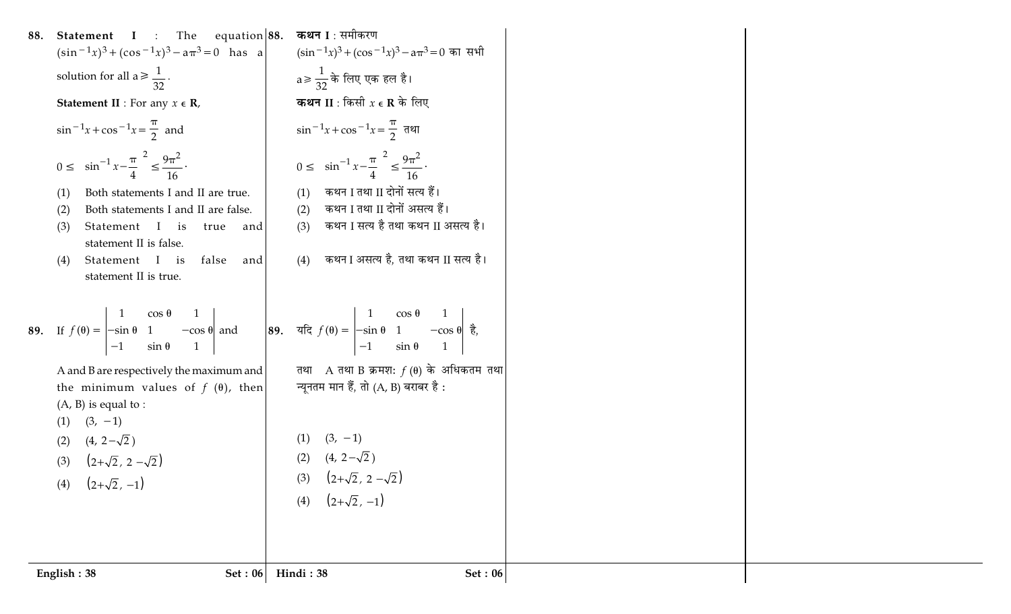|     | Set: 06<br>English: 38                                                                                                                                                                                                                                                                                 | Hindi: 38                                                                             | <b>Set: 06</b> |
|-----|--------------------------------------------------------------------------------------------------------------------------------------------------------------------------------------------------------------------------------------------------------------------------------------------------------|---------------------------------------------------------------------------------------|----------------|
|     |                                                                                                                                                                                                                                                                                                        |                                                                                       |                |
|     |                                                                                                                                                                                                                                                                                                        | (4) $(2+\sqrt{2}, -1)$                                                                |                |
|     | (4) $(2+\sqrt{2}, -1)$                                                                                                                                                                                                                                                                                 | (3) $(2+\sqrt{2}, 2-\sqrt{2})$                                                        |                |
|     | $(2+\sqrt{2}, 2-\sqrt{2})$<br>(3)                                                                                                                                                                                                                                                                      | (2) $(4, 2-\sqrt{2})$                                                                 |                |
|     | $(3, -1)$<br>$(4, 2-\sqrt{2})$<br>(2)                                                                                                                                                                                                                                                                  | $(3, -1)$<br>(1)                                                                      |                |
|     | $(A, B)$ is equal to :                                                                                                                                                                                                                                                                                 |                                                                                       |                |
|     | A and B are respectively the maximum and<br>the minimum values of $f(\theta)$ , then                                                                                                                                                                                                                   | तथा A तथा B क्रमश: $f(\theta)$ के अधिकतम तथा<br>न्यूनतम मान हैं, तो (A, B) बराबर है : |                |
|     |                                                                                                                                                                                                                                                                                                        |                                                                                       |                |
|     | 89. If $f(\theta) = \begin{vmatrix} 1 & \cos \theta & 1 \\ -\sin \theta & 1 & -\cos \theta \\ -1 & \sin \theta & 1 \end{vmatrix}$ and $\begin{vmatrix} 89 & \pi \xi & f(\theta) = \begin{vmatrix} 1 & \cos \theta & 1 \\ -\sin \theta & 1 & -\cos \theta \\ -1 & \sin \theta & 1 \end{vmatrix} \neq 0$ |                                                                                       |                |
|     |                                                                                                                                                                                                                                                                                                        |                                                                                       |                |
|     | statement II is true.                                                                                                                                                                                                                                                                                  |                                                                                       |                |
|     | statement II is false.<br>Statement I is<br>false<br>(4)<br>and                                                                                                                                                                                                                                        | कथन I असत्य है, तथा कथन II सत्य है।<br>(4)                                            |                |
|     | Statement I is<br>(3)<br>true<br>and                                                                                                                                                                                                                                                                   | कथन I सत्य है तथा कथन II असत्य है।<br>(3)                                             |                |
|     | (1)<br>Both statements I and II are false.<br>(2)                                                                                                                                                                                                                                                      | कथन I तथा II दोनों असत्य हैं।<br>(2)                                                  |                |
|     | Both statements I and II are true.                                                                                                                                                                                                                                                                     | कथन I तथा II दोनों सत्य हैं।<br>(1)                                                   |                |
|     | $0 \le \left(\sin^{-1} x - \frac{\pi}{4}\right)^2 \le \frac{9\pi^2}{16}$ .                                                                                                                                                                                                                             | $0 \le \left(\sin^{-1} x - \frac{\pi}{4}\right)^2 \le \frac{9\pi^2}{16}$ .            |                |
|     | $\sin^{-1}x + \cos^{-1}x = \frac{\pi}{2}$ and                                                                                                                                                                                                                                                          | $\sin^{-1}x + \cos^{-1}x = \frac{\pi}{2}$ तथा                                         |                |
|     | <b>Statement II</b> : For any $x \in \mathbb{R}$ ,                                                                                                                                                                                                                                                     | <b>कथन II</b> : किसी $x \in \mathbf{R}$ के लिए                                        |                |
|     | solution for all $a \ge \frac{1}{32}$ .                                                                                                                                                                                                                                                                | $a \geqslant \frac{1}{32}$ के लिए एक हल है।                                           |                |
|     | $(\sin^{-1}x)^3 + (\cos^{-1}x)^3 - a\pi^3 = 0$ has a                                                                                                                                                                                                                                                   | $(\sin^{-1}x)^3 + (\cos^{-1}x)^3 - a\pi^3 = 0$ का सभी                                 |                |
| 88. | <b>Statement</b> I : The equation 88.                                                                                                                                                                                                                                                                  | <b>कथन I</b> : समीकरण                                                                 |                |